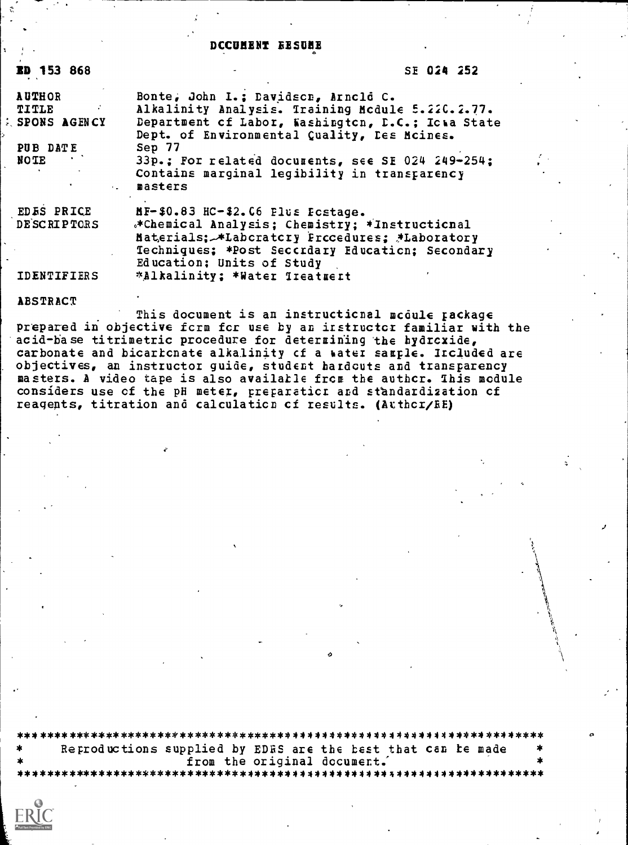# DCCUMENT BESUME

| ED 153 868              | SE 024 252                                                                                                                                                                       |
|-------------------------|----------------------------------------------------------------------------------------------------------------------------------------------------------------------------------|
| <b>AUTHOR</b>           | Bonte, John I.; Davidscn, Arnold C.                                                                                                                                              |
| $\sim 10^{12}$<br>TITLE | Alkalinity Analysis. Training Mcdule 5.220.2.77.                                                                                                                                 |
| <b>SPONS AGENCY</b>     | Department of Labor, Washington, D.C.; Icwa State<br>Dept. of Environmental Quality, Les Mcines.                                                                                 |
| PUB DATE                | Sep 77                                                                                                                                                                           |
| NOTE                    | 33p.; For related documents, see SE 024 249-254;<br>Contains marginal legibility in transparency<br>. masters                                                                    |
| <b>EDES PRICE</b>       | MF-\$0.83 HC-\$2.06 Plus Fostage.                                                                                                                                                |
| DESCRIPTORS             | *Chemical Analysis; Chemistry; *Instructional<br>Materials; ALaboratory Procedures; ALaboratory<br>Techniques; *Post Seccrdary Education; Secondary<br>Education; Units of Study |
| <b>IDENTIFIERS</b>      | *Alkalinity; *Water Treatmert                                                                                                                                                    |

#### ABSTRACT

This document is an instructional module package prepared in objective form for use by an instructor familiar with the acid-base titrimetric procedure for determining the hydroxide, carbonate and bicarbonate alkalinity of a water sample. Included are objectives, an instructor guide, student hardcuts and transparency<br>masters. A video tape is also available from the author. This module considers use of the pH meter, preparation and standardization of reagents, titration and calculation of results. (Atthor/EE)

| ≫k. | Reproductions supplied by EDRS are the best that can be made |  |                             |  |
|-----|--------------------------------------------------------------|--|-----------------------------|--|
| *   |                                                              |  | from the original document. |  |
|     |                                                              |  |                             |  |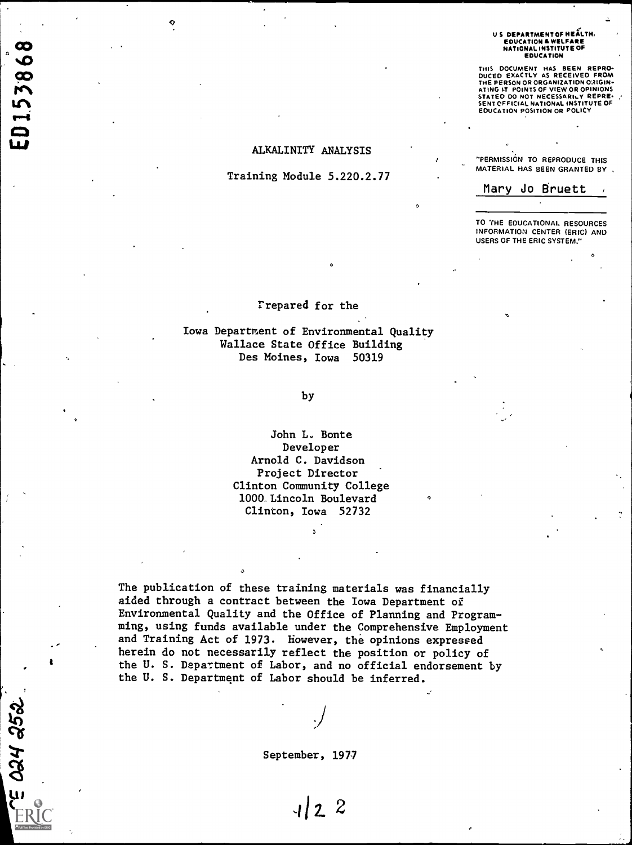#### US DEPARTMENT OF HEALTH. EDUCATION & WELFARE NATIONAL INSTITUTE OF EDUCATION

THIS DOCUMENT HAS BEEN REPRO-<br>DUCED EXACTLY AS RECEIVED FROM<br>THE PERSON OR ORGANIZATION ORIGIN-ATING IT POINTS OF VIEW OR OPINIONS<br>STATED DO NOT NECESSARILY REPRE-<br>SENT OFFICIAL NATIONAL INSTITUTE OF<br>EDUCATION POSITION OR POLICY

#### ALKALINITY ANALYSIS

## Training Module 5.220.2.77

ED153868

E O24 252

"PERMISSION TO REPRODUCE THIS MATERIAL HAS BEEN GRANTED BY

Mary Jo Bruett

TO 'fHE EDUCATIONAL RESOURCES INFORMATION CENTER (ERIC) AND USERS OF THE ERIC SYSTEM."

 $\mathcal{L}$ 

#### rrepared for the

a

Iowa Department of Environmental Quality Wallace State Office Building Des Moines, Iowa 50319

by

John L. Bonte Developer Arnold C. Davidson Project Director Clinton Community College 1000 Lincoln Boulevard Clinton, Iowa 52732

**O** Contract of the Second State of the Second State of the Second State of the Second State of the Second State of the Second State of the Second State of the Second State of the Second State of the Second State of the Se

The publication of these training materials was financially aided through a contract between the Iowa Department of Environmental Quality and the Office of Planning and Programming, using funds available under the Comprehensive Employment and Training Act of 1973. However, the opinions expressed herein do not necessarily reflect the position or policy of the U. S. Department of Labor, and no official endorsement by the U. S. Department of Labor should be inferred.

September, 1977

 $1/2$  2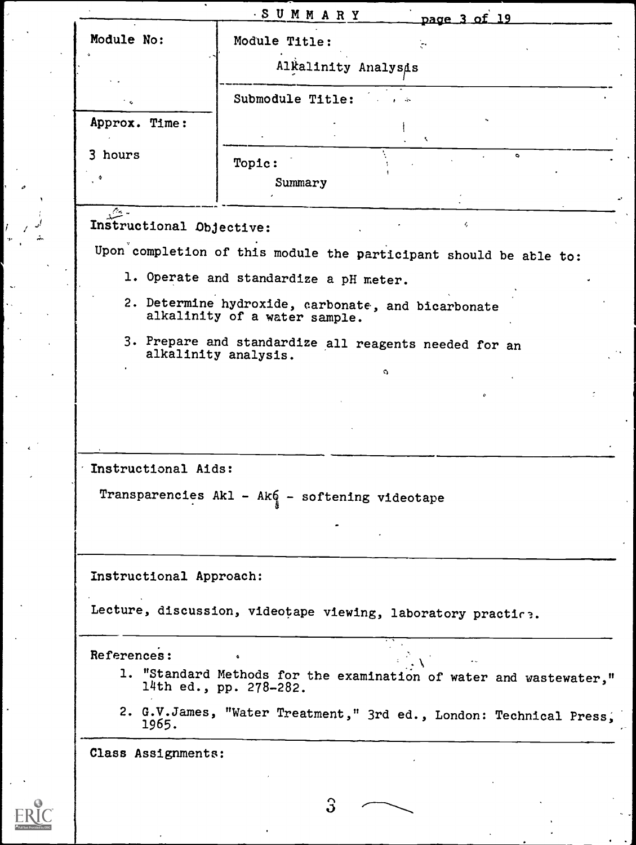| Module No:               | Module Title:                                                                                |
|--------------------------|----------------------------------------------------------------------------------------------|
|                          |                                                                                              |
|                          | Alkalinity Analysis                                                                          |
|                          | Submodule Title:                                                                             |
| Approx. Time:            |                                                                                              |
| 3 hours                  | $\bullet$<br>Topic:                                                                          |
|                          | Summary                                                                                      |
| $\sqrt{2}$ -             |                                                                                              |
| Instructional Objective: | ¢,                                                                                           |
|                          | Upon completion of this module the participant should be able to:                            |
|                          | 1. Operate and standardize a pH meter.                                                       |
|                          | 2. Determine hydroxide, carbonate, and bicarbonate                                           |
|                          | alkalinity of a water sample.                                                                |
|                          | 3. Prepare and standardize all reagents needed for an<br>alkalinity analysis.                |
|                          | U                                                                                            |
|                          |                                                                                              |
|                          |                                                                                              |
|                          |                                                                                              |
|                          |                                                                                              |
| Instructional Aids:      |                                                                                              |
|                          |                                                                                              |
|                          | Transparencies Akl - Ako - softening videotape                                               |
|                          |                                                                                              |
|                          |                                                                                              |
| Instructional Approach:  |                                                                                              |
|                          | Lecture, discussion, videotape viewing, laboratory practice.                                 |
|                          |                                                                                              |
| References:              |                                                                                              |
|                          | 1. "Standard Methods for the examination of water and wastewater,"<br>14th ed., pp. 278-282. |
| 1965.                    | 2. G.V.James, "Water Treatment," 3rd ed., London: Technical Press,                           |

3

ERIC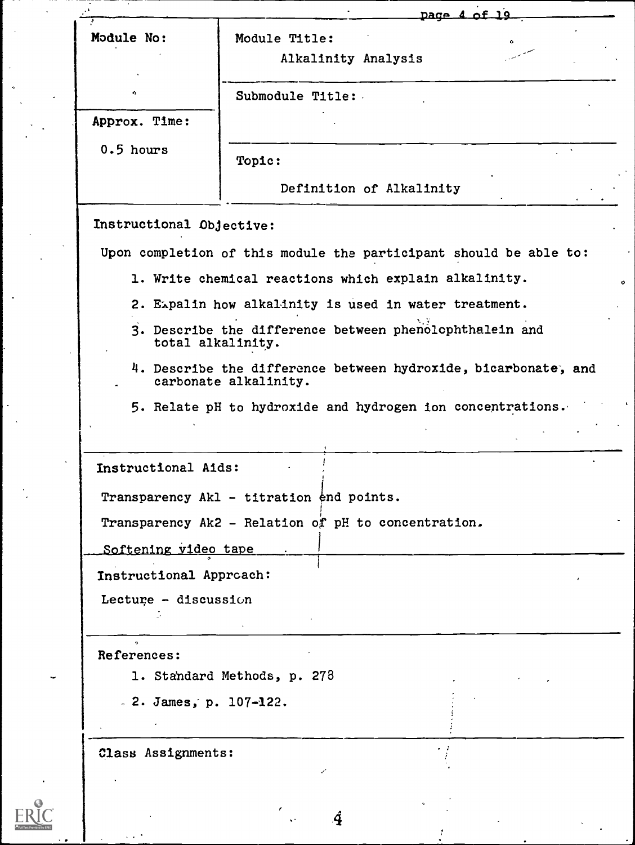| Module Title:<br>Alkalinity Analysis<br>Submodule Title:<br>0.5 hours<br>Topic:<br>Definition of Alkalinity<br>Upon completion of this module the participant should be able to:<br>1. Write chemical reactions which explain alkalinity.<br>2. Expalin how alkalinity is used in water treatment.<br>3. Describe the difference between phenolophthalein and<br>total alkalinity.<br>4. Describe the difference between hydroxide, bicarbonate, and<br>carbonate alkalinity.<br>5. Relate pH to hydroxide and hydrogen ion concentrations.<br>Transparency Akl - titration end points.<br>Transparency Ak2 - Relation of pH to concentration.<br>Softening video tape<br>Lecture - discussion<br>1. Standard Methods, p. 273<br>$.2.$ James, p. 107-122. |               | page 4 of 19 |  |
|-----------------------------------------------------------------------------------------------------------------------------------------------------------------------------------------------------------------------------------------------------------------------------------------------------------------------------------------------------------------------------------------------------------------------------------------------------------------------------------------------------------------------------------------------------------------------------------------------------------------------------------------------------------------------------------------------------------------------------------------------------------|---------------|--------------|--|
| Instructional Approach:<br>References:<br>Class Assignments:                                                                                                                                                                                                                                                                                                                                                                                                                                                                                                                                                                                                                                                                                              | Module No:    |              |  |
| Instructional Aids:                                                                                                                                                                                                                                                                                                                                                                                                                                                                                                                                                                                                                                                                                                                                       |               |              |  |
| Instructional Objective:                                                                                                                                                                                                                                                                                                                                                                                                                                                                                                                                                                                                                                                                                                                                  |               |              |  |
|                                                                                                                                                                                                                                                                                                                                                                                                                                                                                                                                                                                                                                                                                                                                                           | Approx. Time: |              |  |
|                                                                                                                                                                                                                                                                                                                                                                                                                                                                                                                                                                                                                                                                                                                                                           |               |              |  |
|                                                                                                                                                                                                                                                                                                                                                                                                                                                                                                                                                                                                                                                                                                                                                           |               |              |  |
|                                                                                                                                                                                                                                                                                                                                                                                                                                                                                                                                                                                                                                                                                                                                                           |               |              |  |
|                                                                                                                                                                                                                                                                                                                                                                                                                                                                                                                                                                                                                                                                                                                                                           |               |              |  |
|                                                                                                                                                                                                                                                                                                                                                                                                                                                                                                                                                                                                                                                                                                                                                           |               |              |  |
|                                                                                                                                                                                                                                                                                                                                                                                                                                                                                                                                                                                                                                                                                                                                                           |               |              |  |
|                                                                                                                                                                                                                                                                                                                                                                                                                                                                                                                                                                                                                                                                                                                                                           |               |              |  |
|                                                                                                                                                                                                                                                                                                                                                                                                                                                                                                                                                                                                                                                                                                                                                           |               |              |  |
|                                                                                                                                                                                                                                                                                                                                                                                                                                                                                                                                                                                                                                                                                                                                                           |               |              |  |
|                                                                                                                                                                                                                                                                                                                                                                                                                                                                                                                                                                                                                                                                                                                                                           |               |              |  |
|                                                                                                                                                                                                                                                                                                                                                                                                                                                                                                                                                                                                                                                                                                                                                           |               |              |  |
|                                                                                                                                                                                                                                                                                                                                                                                                                                                                                                                                                                                                                                                                                                                                                           |               |              |  |
|                                                                                                                                                                                                                                                                                                                                                                                                                                                                                                                                                                                                                                                                                                                                                           |               |              |  |
|                                                                                                                                                                                                                                                                                                                                                                                                                                                                                                                                                                                                                                                                                                                                                           |               |              |  |
|                                                                                                                                                                                                                                                                                                                                                                                                                                                                                                                                                                                                                                                                                                                                                           |               |              |  |
|                                                                                                                                                                                                                                                                                                                                                                                                                                                                                                                                                                                                                                                                                                                                                           |               |              |  |
|                                                                                                                                                                                                                                                                                                                                                                                                                                                                                                                                                                                                                                                                                                                                                           |               |              |  |
|                                                                                                                                                                                                                                                                                                                                                                                                                                                                                                                                                                                                                                                                                                                                                           |               |              |  |
|                                                                                                                                                                                                                                                                                                                                                                                                                                                                                                                                                                                                                                                                                                                                                           |               |              |  |
|                                                                                                                                                                                                                                                                                                                                                                                                                                                                                                                                                                                                                                                                                                                                                           |               |              |  |
|                                                                                                                                                                                                                                                                                                                                                                                                                                                                                                                                                                                                                                                                                                                                                           |               |              |  |
|                                                                                                                                                                                                                                                                                                                                                                                                                                                                                                                                                                                                                                                                                                                                                           |               |              |  |
|                                                                                                                                                                                                                                                                                                                                                                                                                                                                                                                                                                                                                                                                                                                                                           |               |              |  |
|                                                                                                                                                                                                                                                                                                                                                                                                                                                                                                                                                                                                                                                                                                                                                           |               | Ą.           |  |

 $\boxed{\prod\limits_{\substack{\mathbf{a}}\in \mathbb{N}^n\\ \mathbf{a}\text{-rultate Prooted by EBC}}}$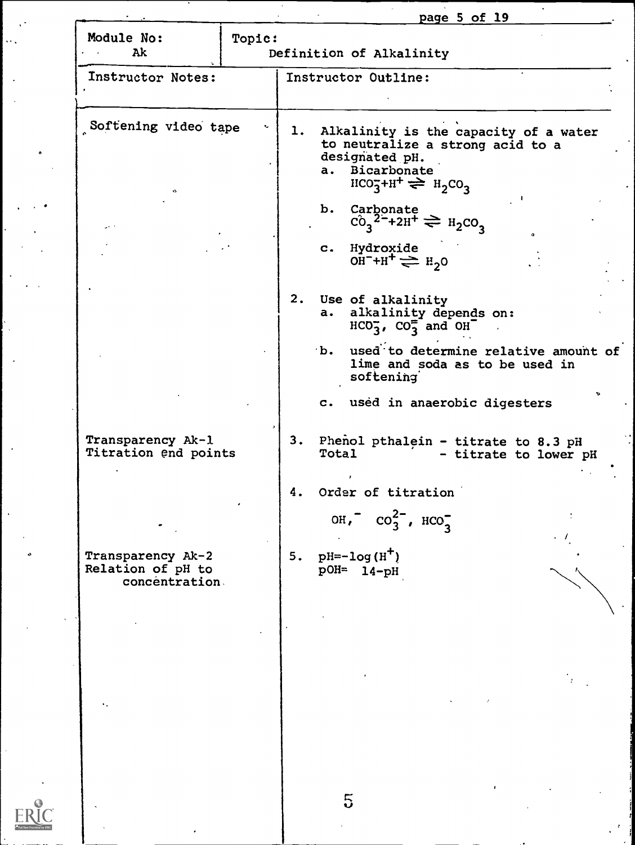|                                                         |        | <u>page 5 of 19</u>                                                                                                                                                                                                          |
|---------------------------------------------------------|--------|------------------------------------------------------------------------------------------------------------------------------------------------------------------------------------------------------------------------------|
| Module No:<br>Ak                                        | Topic: | Definition of Alkalinity                                                                                                                                                                                                     |
| Instructor Notes:                                       |        | Instructor Outline:                                                                                                                                                                                                          |
| Softening video tape                                    |        | 1. Alkalinity is the capacity of a water<br>to neutralize a strong acid to a<br>designated pH.<br>Bicarbonate<br>a.<br>$HCO3+H+ \rightleftharpoons H2CO3$                                                                    |
|                                                         |        | Carbonate<br>b.<br>$C_0^2$ <sup>2-</sup> +2H <sup>+</sup> $\rightleftharpoons$ H <sub>2</sub> CO <sub>3</sub><br>Hydroxide<br>$\mathbf{C}$ .<br>OH <sup>-+H<sup>+</sup> <math>\rightleftharpoons</math> H<sub>2</sub>O</sup> |
|                                                         |        | 2.<br>Use of alkalinity<br>alkalinity depends on:<br>a.<br>$HCO3$ , $CO3-$ and $OH-$<br>used to determine relative amount of<br>$\mathbf{b}$ .<br>lime and soda as to be used in<br>softening                                |
| Transparency Ak-1                                       |        | c. used in anaerobic digesters                                                                                                                                                                                               |
| Titration end points                                    |        | 3. Phenol pthalein - titrate to 8.3 pH<br>Total<br>- titrate to lower pH<br>Order of titration<br>4.                                                                                                                         |
|                                                         |        | OH, $\cos^2$ , $\sec^2$                                                                                                                                                                                                      |
| Transparency Ak-2<br>Relation of pH to<br>concentration |        | $pH=-log(H^+)$<br>5.<br>$pOH = 14-pH$                                                                                                                                                                                        |
|                                                         |        |                                                                                                                                                                                                                              |
|                                                         |        |                                                                                                                                                                                                                              |

ER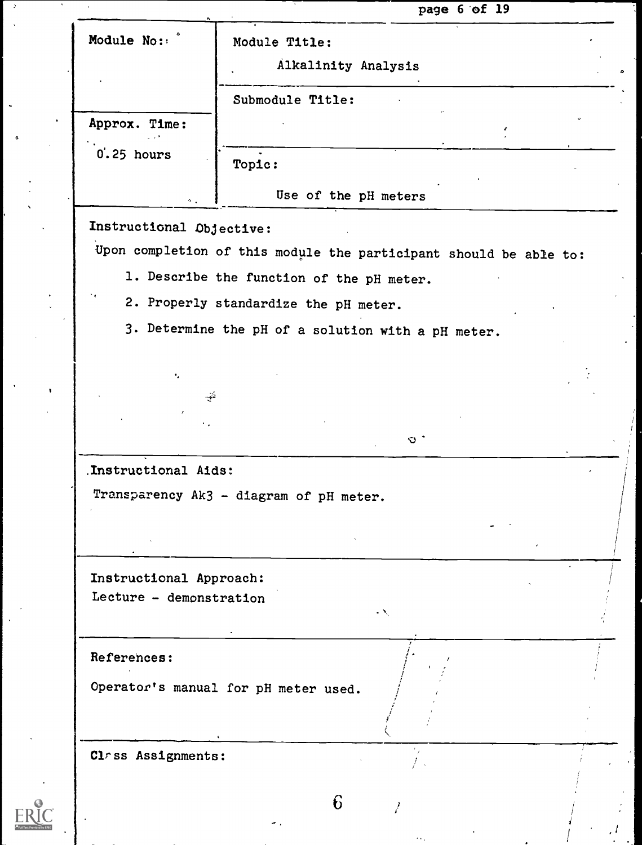|                                                        | page 6 of 19                                                      |  |
|--------------------------------------------------------|-------------------------------------------------------------------|--|
| Module No:                                             | Module Title:                                                     |  |
|                                                        | Alkalinity Analysis                                               |  |
|                                                        | Submodule Title:                                                  |  |
| Approx. Time:                                          |                                                                   |  |
| 0'.25 hours                                            | Topic:                                                            |  |
|                                                        | Use of the pH meters                                              |  |
| $\mathcal{O}(\mathcal{A})$<br>Instructional Objective: |                                                                   |  |
|                                                        | Upon completion of this module the participant should be able to: |  |
|                                                        | 1. Describe the function of the pH meter.                         |  |
|                                                        | 2. Properly standardize the pH meter.                             |  |
|                                                        | 3. Determine the pH of a solution with a pH meter.                |  |
|                                                        |                                                                   |  |
| ٠.                                                     | $\sim$ $>$                                                        |  |
|                                                        |                                                                   |  |
|                                                        | $\circ$ $\circ$                                                   |  |
| Instructional Aids:                                    |                                                                   |  |
|                                                        | Transparency Ak3 - diagram of pH meter.                           |  |
|                                                        |                                                                   |  |
|                                                        |                                                                   |  |
| Instructional Approach:                                |                                                                   |  |
| Lecture - demonstration                                | $\mathcal{L}(\mathcal{N})$                                        |  |
|                                                        |                                                                   |  |
| References:                                            |                                                                   |  |
|                                                        | Operator's manual for pH meter used.                              |  |
|                                                        |                                                                   |  |
| Class Assignments:                                     |                                                                   |  |
|                                                        |                                                                   |  |
|                                                        | 6                                                                 |  |
|                                                        |                                                                   |  |

 $I = \{1, 2, \ldots \}$ /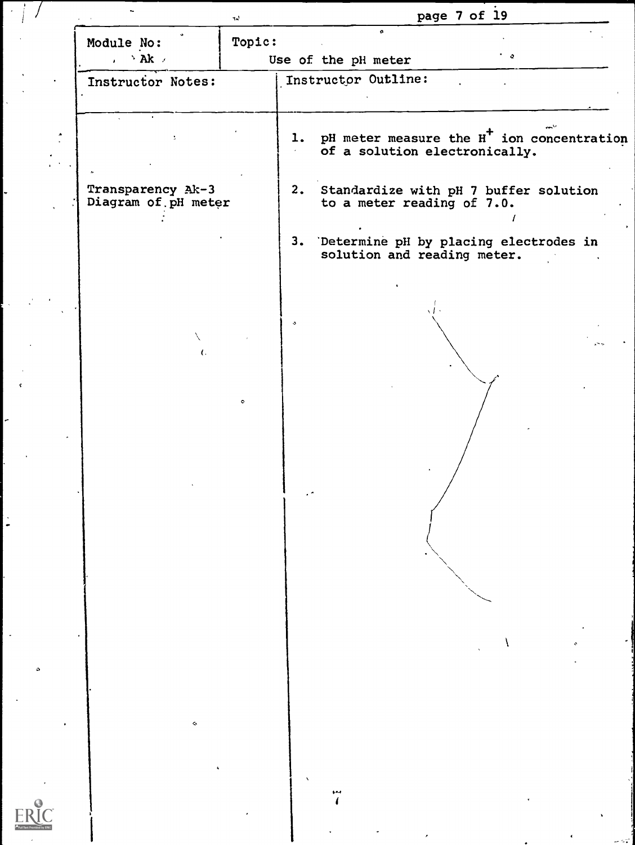|                                                | $\tau\omega$ |                                                          | page 7 of 19                  |                |  |
|------------------------------------------------|--------------|----------------------------------------------------------|-------------------------------|----------------|--|
| Module No:<br>, $\rightarrow$ Ak $\rightarrow$ | Topic:       | $\pmb{\sigma}$<br>Use of the pH meter                    |                               | $\overline{a}$ |  |
| Instructor Notes:                              |              | Instructor Outline:                                      |                               |                |  |
|                                                |              | 1. pH meter measure the H <sup>+</sup> ion concentration | of a solution electronically. |                |  |
| Transparency Ak-3<br>Diagram of pH meter       |              | 2. Standardize with pH 7 buffer solution                 | to a meter reading of 7.0.    |                |  |
|                                                |              | 3. Determine pH by placing electrodes in                 | solution and reading meter.   |                |  |
|                                                |              |                                                          |                               |                |  |
|                                                |              |                                                          |                               |                |  |
|                                                | $\bullet$    |                                                          |                               |                |  |
|                                                |              |                                                          |                               |                |  |
|                                                |              | $\cdot$                                                  |                               |                |  |
|                                                |              |                                                          |                               |                |  |
|                                                |              |                                                          |                               |                |  |
|                                                |              |                                                          |                               |                |  |
|                                                |              |                                                          |                               |                |  |
| $\bullet$                                      |              |                                                          |                               |                |  |
|                                                |              |                                                          |                               |                |  |
|                                                |              | بمو                                                      |                               |                |  |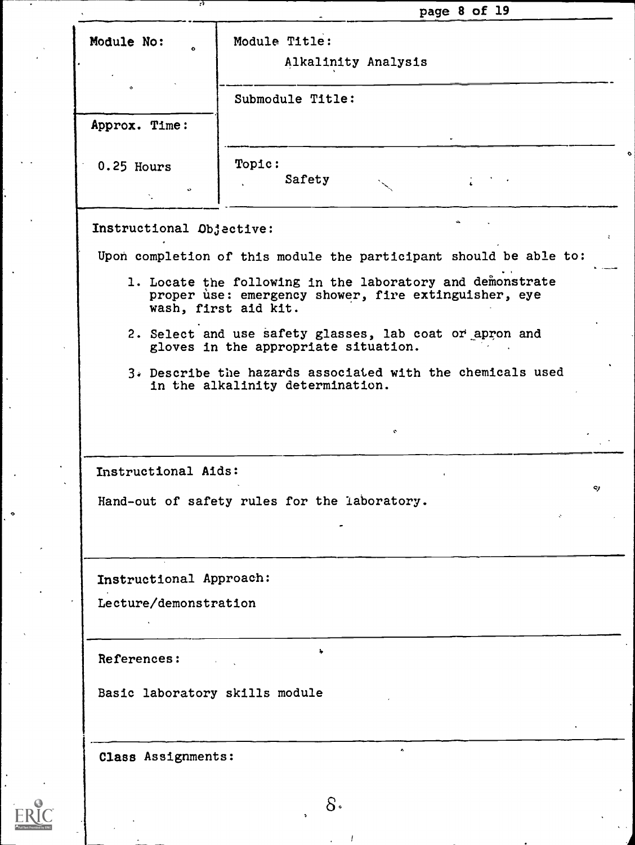| Module No:                                                                                             | Module Title:<br>Alkalinity Analysis                                                                                                      |
|--------------------------------------------------------------------------------------------------------|-------------------------------------------------------------------------------------------------------------------------------------------|
|                                                                                                        | Submodule Title:                                                                                                                          |
| Approx. Time:                                                                                          |                                                                                                                                           |
| $0.25$ Hours                                                                                           | Topic:<br>Safety                                                                                                                          |
| Instructional Objective:                                                                               |                                                                                                                                           |
|                                                                                                        | Upon completion of this module the participant should be able to:                                                                         |
|                                                                                                        | 1. Locate the following in the laboratory and demonstrate<br>proper use: emergency shower, fire extinguisher, eye<br>wash, first aid kit. |
|                                                                                                        | 2. Select and use safety glasses, lab coat or apron and<br>gloves in the appropriate situation.                                           |
|                                                                                                        | 3. Describe the hazards associated with the chemicals used<br>in the alkalinity determination.                                            |
|                                                                                                        |                                                                                                                                           |
| Instructional Aids:                                                                                    | ۰                                                                                                                                         |
|                                                                                                        |                                                                                                                                           |
|                                                                                                        | Hand-out of safety rules for the laboratory.                                                                                              |
| Instructional Approach:                                                                                |                                                                                                                                           |
| Lecture/demonstration                                                                                  |                                                                                                                                           |
| References:<br>$\mathcal{L}^{\text{max}}_{\text{max}}$ , where $\mathcal{L}^{\text{max}}_{\text{max}}$ | $\ddot{\phantom{1}}$                                                                                                                      |
| Basic laboratory skills module                                                                         |                                                                                                                                           |
|                                                                                                        |                                                                                                                                           |
| Class Assignments:                                                                                     | $\bullet$                                                                                                                                 |

 $ERIC$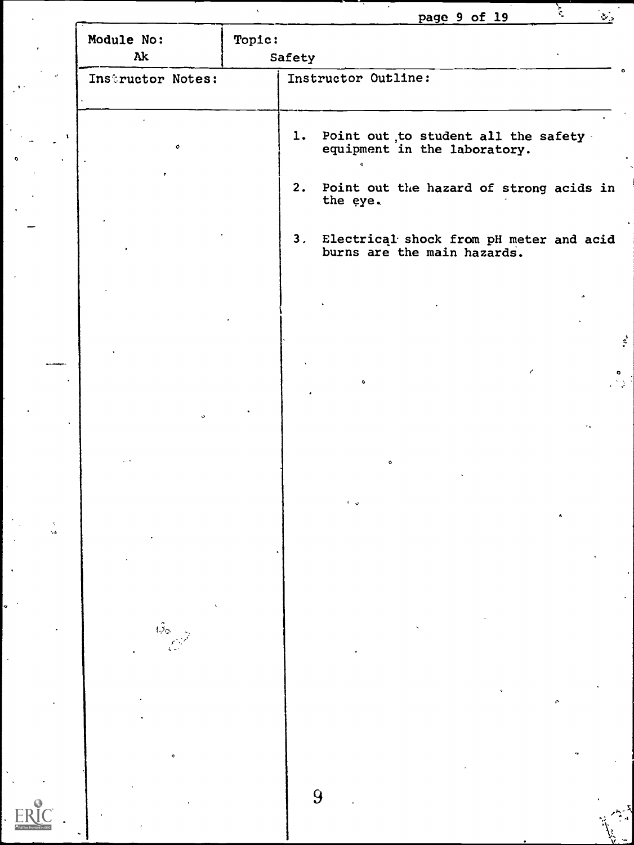|                   |                  |                     |                             | page 9 of 19                                                           | È. | $\mathbf{v}_\mathrm{a}$ |
|-------------------|------------------|---------------------|-----------------------------|------------------------------------------------------------------------|----|-------------------------|
| Module No:<br>Ak  | Topic:<br>Safety |                     |                             |                                                                        |    |                         |
| Instructor Notes: |                  | Instructor Outline: |                             |                                                                        |    |                         |
|                   |                  |                     |                             |                                                                        |    |                         |
| $\mathbf{o}$      |                  |                     |                             | 1. Point out to student all the safety<br>equipment in the laboratory. |    |                         |
|                   |                  | the eye.            |                             | 2. Point out the hazard of strong acids in                             |    |                         |
|                   |                  |                     | burns are the main hazards. | 3. Electrical shock from pH meter and acid                             |    |                         |
|                   |                  |                     |                             |                                                                        |    |                         |
|                   |                  |                     |                             |                                                                        |    |                         |
|                   |                  |                     |                             |                                                                        |    | $\mathcal{L}$           |
|                   |                  | $\bullet$           |                             |                                                                        |    | ۰<br>$\mathbb{R}^3$     |
|                   |                  |                     |                             |                                                                        |    |                         |
|                   |                  |                     | ۰                           |                                                                        |    |                         |
|                   |                  | ی ⊀                 |                             |                                                                        |    |                         |
|                   |                  |                     |                             |                                                                        |    |                         |
|                   |                  |                     |                             |                                                                        |    |                         |
|                   |                  |                     |                             |                                                                        |    |                         |
|                   |                  |                     |                             |                                                                        |    |                         |
|                   |                  |                     |                             |                                                                        |    |                         |
|                   |                  |                     |                             |                                                                        |    |                         |
|                   |                  |                     |                             |                                                                        |    |                         |
| ø                 |                  |                     |                             |                                                                        |    |                         |
|                   |                  | 9                   |                             |                                                                        |    |                         |
|                   |                  |                     |                             |                                                                        |    |                         |

 $\sqrt{2}$ 

 $ERIC$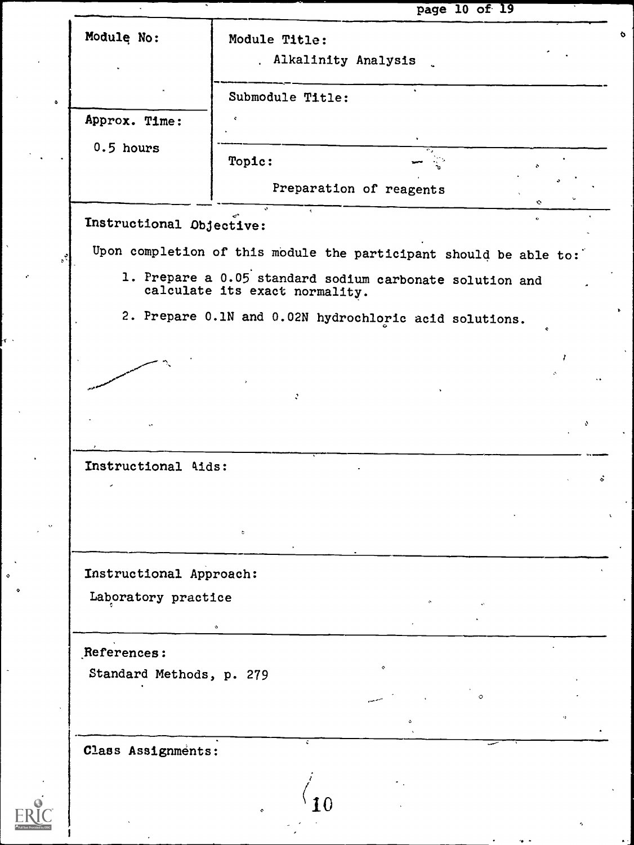|                          |                                        | page 10 of 19                                                     |           |
|--------------------------|----------------------------------------|-------------------------------------------------------------------|-----------|
| Modulę No:               | Module Title:<br>. Alkalinity Analysis |                                                                   |           |
|                          |                                        | $\ddot{\phantom{1}}$                                              |           |
|                          | Submodule Title:                       |                                                                   |           |
| Approx. Time:            |                                        |                                                                   |           |
| $0.5$ hours              | Topic:                                 |                                                                   |           |
|                          |                                        | Preparation of reagents                                           | Ó         |
| Instructional Objective: |                                        |                                                                   | $\bullet$ |
|                          |                                        | Upon completion of this module the participant should be able to: |           |
|                          |                                        | 1. Prepare a 0.05 standard sodium carbonate solution and          |           |
|                          | calculate its exact normality.         |                                                                   |           |
|                          |                                        | 2. Prepare 0.1N and 0.02N hydrochloric acid solutions.            |           |
|                          |                                        |                                                                   |           |
|                          |                                        |                                                                   |           |
|                          | ÷.                                     |                                                                   |           |
|                          |                                        |                                                                   | ÷.        |
| Instructional 4ids:      |                                        |                                                                   |           |
|                          |                                        |                                                                   |           |
|                          |                                        |                                                                   |           |
|                          | ò                                      |                                                                   |           |
| Instructional Approach:  |                                        |                                                                   |           |
| Laboratory practice      |                                        |                                                                   |           |
|                          |                                        |                                                                   |           |
| References:              |                                        |                                                                   |           |
| Standard Methods, p. 279 |                                        |                                                                   |           |
|                          |                                        |                                                                   |           |
|                          |                                        |                                                                   |           |
| Class Assignments:       | ÷                                      |                                                                   |           |
|                          |                                        |                                                                   |           |
|                          | $\bullet$                              |                                                                   |           |
|                          |                                        |                                                                   |           |

Ì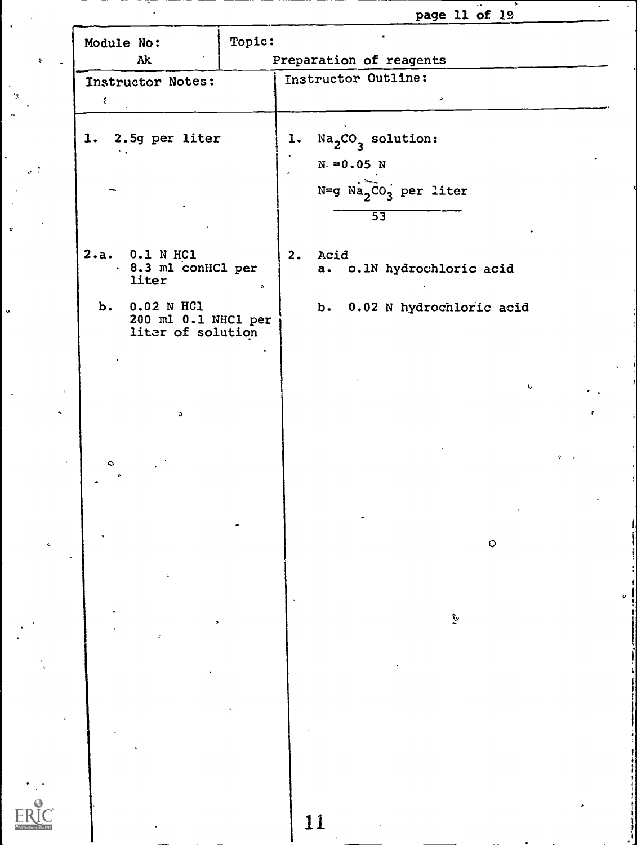|                                                           |        |                                          | page 11 of 19               |         |  |
|-----------------------------------------------------------|--------|------------------------------------------|-----------------------------|---------|--|
| Module No:                                                | Topic: |                                          |                             |         |  |
| Ak                                                        |        | Preparation of reagents                  |                             |         |  |
| Instructor Notes:<br>$\delta$                             |        | Instructor Outline:                      |                             |         |  |
| 1. 2.5g per liter<br>$\mathbf{v}$                         |        | $Na2CO3$ solution:<br>1.<br>$N = 0.05 N$ | $N=g$ $Na_2CO_3$ per liter  |         |  |
| 2.a. 0.1 N HC1<br>8.3 ml conHCl per<br>liter              |        | $\overline{53}$<br>2. Acid               | a. o.1N hydrochloric acid   |         |  |
| b. 0.02 N HC1<br>200 ml 0.1 NHCl per<br>liter of solution |        |                                          | b. 0.02 N hydrochloric acid |         |  |
| $\mathbf{o}$                                              |        |                                          |                             | t.      |  |
| ۰                                                         |        |                                          |                             |         |  |
|                                                           |        |                                          |                             | $\circ$ |  |
|                                                           |        |                                          |                             |         |  |
|                                                           |        |                                          | $\mathcal{G}$               |         |  |
|                                                           |        |                                          |                             |         |  |
|                                                           |        |                                          |                             |         |  |
|                                                           |        | 11                                       |                             |         |  |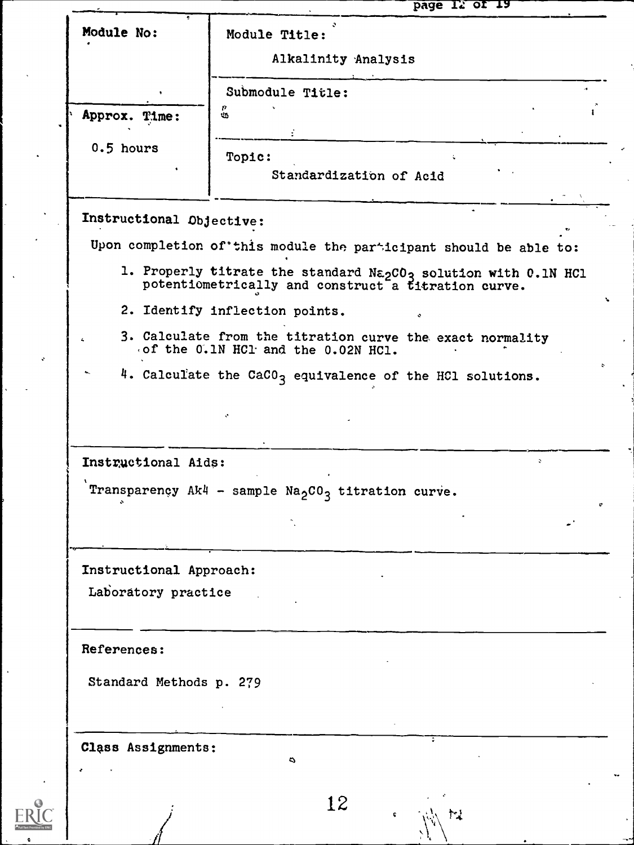| Module No:               | Module Title:                                                                                                                                  |              |
|--------------------------|------------------------------------------------------------------------------------------------------------------------------------------------|--------------|
|                          | Alkalinity Analysis                                                                                                                            |              |
|                          | Submodule Title:                                                                                                                               |              |
| Approx. Time:            | P<br>$\ddot{\bm{\omega}}$                                                                                                                      |              |
| $0.5$ hours              | Topic:                                                                                                                                         |              |
|                          | Standardization of Acid                                                                                                                        |              |
| Instructional Objective: |                                                                                                                                                |              |
|                          | Upon completion of this module the participant should be able to:                                                                              |              |
|                          | 1. Properly titrate the standard Na <sub>2</sub> CO <sub>3</sub> solution with 0.1N HC1<br>potentiometrically and construct a titration curve. |              |
|                          | 2. Identify inflection points.                                                                                                                 |              |
|                          | 3. Calculate from the titration curve the exact normality<br>of the 0.1N HC1 and the 0.02N HC1.                                                |              |
|                          | 4. Calculate the CaCO <sub>3</sub> equivalence of the HC1 solutions.                                                                           |              |
|                          |                                                                                                                                                |              |
|                          |                                                                                                                                                |              |
| Instructional Aids:      |                                                                                                                                                | $\mathbf{z}$ |
|                          | Transparençy Ak4 - sample $\text{Na}_2\text{CO}_3$ titration curve.                                                                            |              |
|                          |                                                                                                                                                |              |
|                          |                                                                                                                                                |              |
|                          |                                                                                                                                                |              |
| Instructional Approach:  |                                                                                                                                                |              |
| Laboratory practice      |                                                                                                                                                |              |
|                          |                                                                                                                                                |              |
| References:              |                                                                                                                                                |              |
| Standard Methods p. 279  |                                                                                                                                                |              |
|                          |                                                                                                                                                |              |
|                          |                                                                                                                                                |              |
| Class Assignments:       | $\ddot{\phantom{0}}$                                                                                                                           |              |
|                          | 12                                                                                                                                             |              |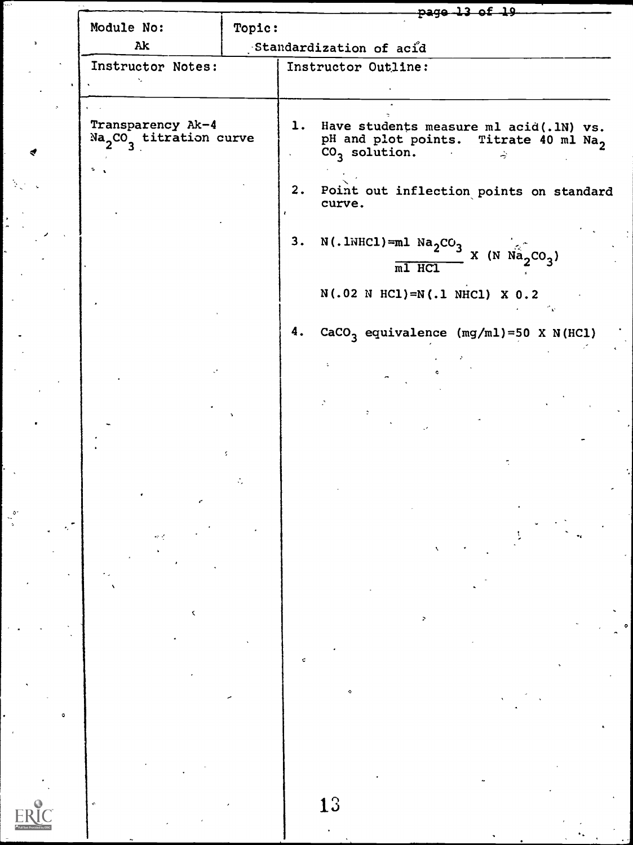|                                               |        | <del>page 13 of 19</del>                                                                                               |  |  |  |  |  |
|-----------------------------------------------|--------|------------------------------------------------------------------------------------------------------------------------|--|--|--|--|--|
| Module No:                                    | Topic: |                                                                                                                        |  |  |  |  |  |
| Ak                                            |        | Standardization of acid                                                                                                |  |  |  |  |  |
| Instructor Notes:                             |        | Instructor Outline:                                                                                                    |  |  |  |  |  |
|                                               |        |                                                                                                                        |  |  |  |  |  |
|                                               |        |                                                                                                                        |  |  |  |  |  |
| Transparency Ak-4<br>$Na2CO3$ titration curve |        | 1. Have students measure ml acid(.1N) vs.<br>pH and plot points. Titrate 40 ml Na <sub>2</sub><br>$CO3$ solution.<br>÷ |  |  |  |  |  |
| ÷.                                            |        | 2.<br>Point out inflection points on standard<br>curve.                                                                |  |  |  |  |  |
|                                               |        | 3.<br>$N(.1NHCl)=ml Na2CO3$<br>$X$ (N $Na_2CO_3$ )<br>$m1$ HCl                                                         |  |  |  |  |  |
|                                               |        | $N(.02 N HCl) = N(.1 N HCl) X 0.2$                                                                                     |  |  |  |  |  |
|                                               |        |                                                                                                                        |  |  |  |  |  |
|                                               |        | CaCO <sub>3</sub> equivalence $(mg/ml)=50 X N(HCl)$<br>4.                                                              |  |  |  |  |  |
|                                               |        |                                                                                                                        |  |  |  |  |  |
|                                               |        |                                                                                                                        |  |  |  |  |  |
|                                               |        |                                                                                                                        |  |  |  |  |  |
|                                               |        |                                                                                                                        |  |  |  |  |  |
|                                               |        |                                                                                                                        |  |  |  |  |  |
|                                               |        |                                                                                                                        |  |  |  |  |  |
|                                               |        |                                                                                                                        |  |  |  |  |  |
|                                               |        | ۵                                                                                                                      |  |  |  |  |  |
|                                               |        |                                                                                                                        |  |  |  |  |  |
|                                               |        | ¢                                                                                                                      |  |  |  |  |  |
|                                               |        |                                                                                                                        |  |  |  |  |  |
|                                               |        |                                                                                                                        |  |  |  |  |  |
|                                               |        |                                                                                                                        |  |  |  |  |  |
|                                               |        | 13                                                                                                                     |  |  |  |  |  |

 $\frac{1}{2}$ 

 $ERIC$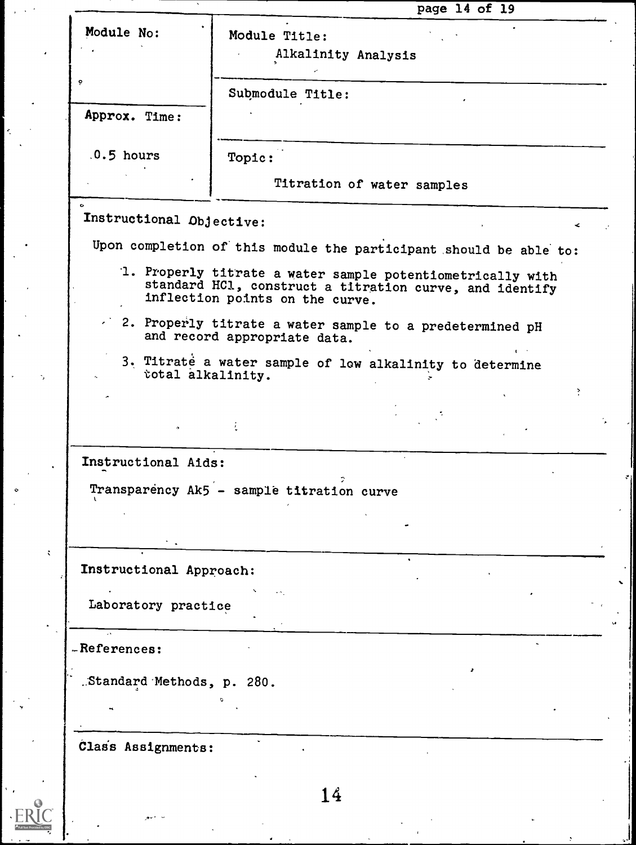|                                                                                              |                                                                                                                                                          |                            | page 14 of 19 |                    |
|----------------------------------------------------------------------------------------------|----------------------------------------------------------------------------------------------------------------------------------------------------------|----------------------------|---------------|--------------------|
| Module No:                                                                                   | Module Title:                                                                                                                                            | Alkalinity Analysis        |               |                    |
| ö                                                                                            | Submodule Title:                                                                                                                                         |                            |               |                    |
| Approx. Time:                                                                                |                                                                                                                                                          |                            |               |                    |
| $.0.5$ hours                                                                                 | Topic:                                                                                                                                                   |                            |               |                    |
|                                                                                              |                                                                                                                                                          | Titration of water samples |               |                    |
| Instructional Objective:                                                                     |                                                                                                                                                          |                            |               | $\hat{\textbf{v}}$ |
| Upon completion of this module the participant should be able to:                            |                                                                                                                                                          |                            |               |                    |
|                                                                                              | 1. Properly titrate a water sample potentiometrically with<br>standard HCl, construct a titration curve, and identify<br>inflection points on the curve. |                            |               |                    |
|                                                                                              | $\sim$ 2. Properly titrate a water sample to a predetermined pH<br>and record appropriate data.                                                          |                            |               |                    |
| total alkalinity.                                                                            | 3. Titrate a water sample of low alkalinity to determine                                                                                                 |                            |               |                    |
|                                                                                              |                                                                                                                                                          |                            |               | ÷                  |
|                                                                                              |                                                                                                                                                          |                            |               |                    |
| $\bullet$                                                                                    |                                                                                                                                                          |                            |               |                    |
|                                                                                              |                                                                                                                                                          |                            |               |                    |
| Transparency Ak5 - sample titration curve                                                    |                                                                                                                                                          | $\ddot{\phantom{1}}$       |               |                    |
|                                                                                              |                                                                                                                                                          |                            |               |                    |
|                                                                                              |                                                                                                                                                          |                            |               |                    |
|                                                                                              |                                                                                                                                                          |                            |               |                    |
| Laboratory practice                                                                          |                                                                                                                                                          |                            |               |                    |
|                                                                                              |                                                                                                                                                          |                            |               |                    |
|                                                                                              |                                                                                                                                                          |                            |               |                    |
| Instructional Aids:<br>Instructional Approach:<br>-References:<br>.Standard Methods, p. 280. |                                                                                                                                                          |                            |               |                    |

14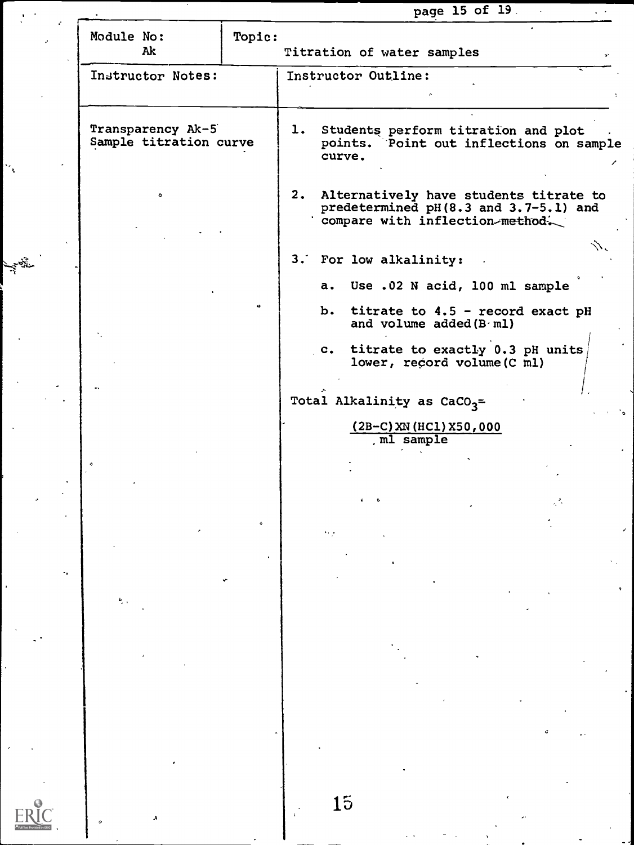|                                             |        |                                                                                                                       | page 15 of 19. | $\sim$ |
|---------------------------------------------|--------|-----------------------------------------------------------------------------------------------------------------------|----------------|--------|
| Module No:<br>Ak                            | Topic: | Titration of water samples                                                                                            |                |        |
| Instructor Notes:                           |        | Instructor Outline:                                                                                                   |                |        |
| Transparency Ak-5<br>Sample titration curve |        | 1. Students perform titration and plot<br>points. Point out inflections on sample<br>curve.                           |                |        |
| ۰                                           |        | 2. Alternatively have students titrate to<br>predetermined pH(8.3 and 3.7-5.1) and<br>compare with inflection-method. |                |        |
|                                             |        | 3. For low alkalinity:                                                                                                |                |        |
| E BL                                        |        | a. Use .02 N acid, 100 ml sample                                                                                      |                |        |
|                                             |        | b. titrate to 4.5 - record exact pH<br>and volume added (B ml)                                                        |                |        |
|                                             |        | c. titrate to exactly 0.3 pH units<br>lower, record volume (C ml)                                                     |                |        |
|                                             |        | Total Alkalinity as $CaCO3$ =                                                                                         |                |        |
|                                             |        | $(2B-C)$ XN (HC1) X50,000<br>, ml sample                                                                              |                |        |
|                                             |        |                                                                                                                       |                |        |
|                                             |        |                                                                                                                       |                |        |
|                                             |        |                                                                                                                       |                |        |
|                                             |        |                                                                                                                       |                |        |
|                                             |        |                                                                                                                       |                |        |
|                                             |        |                                                                                                                       |                |        |
|                                             |        |                                                                                                                       |                |        |
|                                             |        |                                                                                                                       |                |        |
|                                             |        |                                                                                                                       |                |        |
|                                             |        |                                                                                                                       |                |        |
|                                             |        | 15                                                                                                                    |                |        |

 $|\cdot|$ 

**Service** 

 $\sim$ 

 $\frac{1}{4}$ 

 $ERIC$ 

 $\sim 10^{-1}$ 

 $\bullet$ 

 $\varphi$  ,  $\varphi$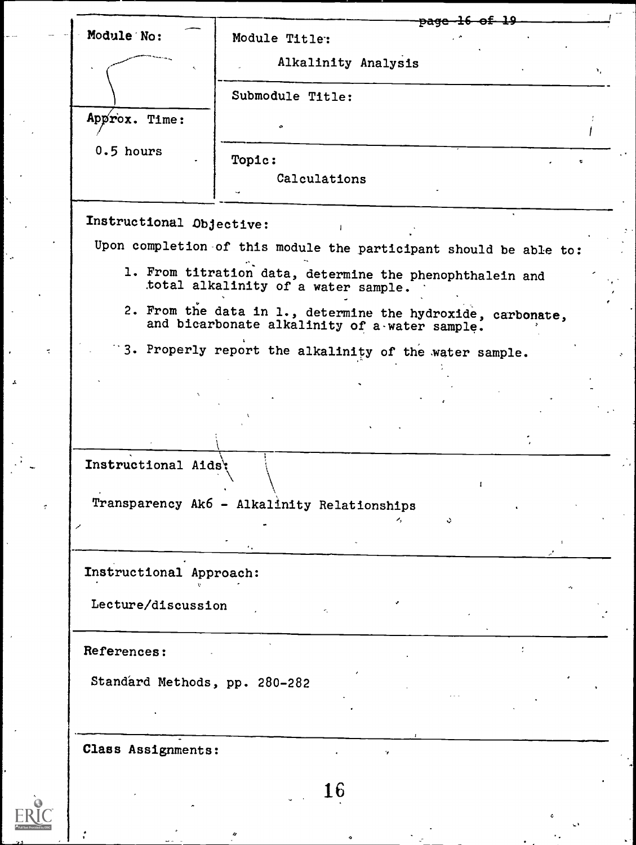| Module No:                    |                                                                                                              |                     | <del>pagc</del>     |    |
|-------------------------------|--------------------------------------------------------------------------------------------------------------|---------------------|---------------------|----|
|                               | Module Title:                                                                                                |                     |                     |    |
|                               |                                                                                                              | Alkalinity Analysis |                     | ۹, |
|                               | Submodule Title:                                                                                             |                     |                     |    |
| Approx. Time:                 |                                                                                                              |                     |                     |    |
| $0.5$ hours                   | Topic:                                                                                                       |                     |                     |    |
|                               | Calculations                                                                                                 |                     |                     |    |
|                               |                                                                                                              |                     |                     |    |
| Instructional Objective:      |                                                                                                              |                     |                     |    |
|                               | Upon completion of this module the participant should be able to:                                            |                     |                     |    |
|                               | 1. From titration data, determine the phenophthalein and<br>total alkalinity of a water sample.              |                     |                     |    |
|                               | 2. From the data in 1., determine the hydroxide, carbonate,<br>and bicarbonate alkalinity of a water sample. |                     |                     |    |
|                               | 3. Properly report the alkalinity of the water sample.                                                       |                     |                     |    |
|                               |                                                                                                              |                     |                     |    |
|                               |                                                                                                              |                     |                     |    |
|                               |                                                                                                              |                     |                     |    |
| Instructional Aids':          |                                                                                                              |                     |                     |    |
|                               |                                                                                                              |                     | $\mathbf{I}$        |    |
|                               | Transparency Ak6 - Alkalinity Relationships                                                                  |                     | $\ddot{\mathbf{v}}$ |    |
|                               |                                                                                                              |                     |                     |    |
| Instructional Approach:       |                                                                                                              |                     |                     |    |
|                               |                                                                                                              |                     |                     |    |
| Lecture/discussion            | k.                                                                                                           |                     |                     |    |
| References:                   |                                                                                                              |                     |                     |    |
| Standard Methods, pp. 280-282 |                                                                                                              |                     |                     |    |
|                               |                                                                                                              |                     |                     |    |
|                               |                                                                                                              |                     |                     |    |
| Class Assignments:            |                                                                                                              |                     |                     |    |
|                               |                                                                                                              |                     |                     |    |
|                               | 16                                                                                                           |                     |                     |    |

o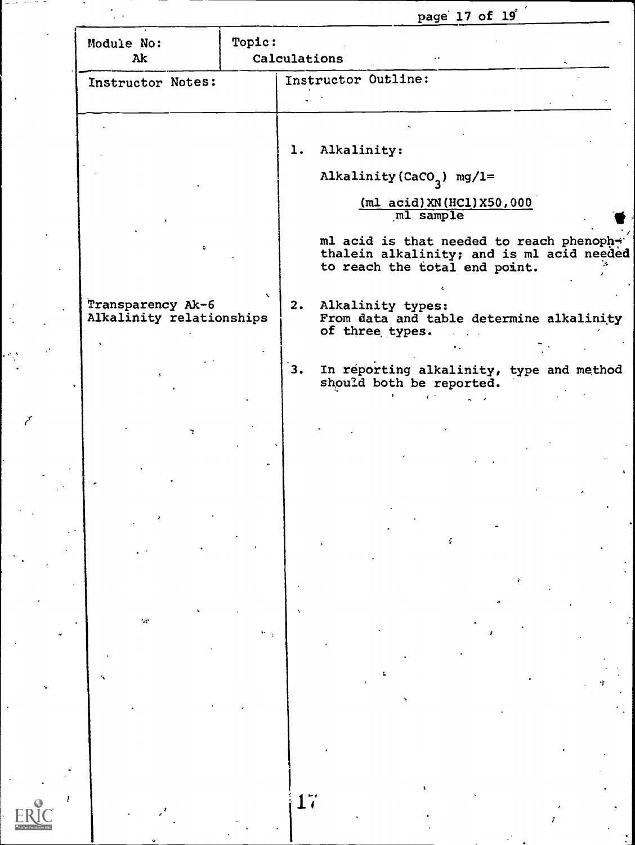page 17 of 19<sup>'</sup>

| Module No:<br>Ak                              | Topic:<br>Calculations |                                         |                                                                                                                         |  |
|-----------------------------------------------|------------------------|-----------------------------------------|-------------------------------------------------------------------------------------------------------------------------|--|
| Instructor Notes:                             |                        | Instructor Outline:                     |                                                                                                                         |  |
|                                               |                        |                                         |                                                                                                                         |  |
|                                               | 1.                     | Alkalinity:                             |                                                                                                                         |  |
|                                               |                        | Alkalinity (CaCO <sub>3</sub> ) mg/l=   |                                                                                                                         |  |
|                                               |                        |                                         | $(m1 \text{ acid})$ XN $(HCl)$ X50,000<br>ml sample                                                                     |  |
|                                               |                        |                                         | ml acid is that needed to reach phenopher<br>thalein alkalinity; and is ml acid needed<br>to reach the total end point. |  |
| Transparency Ak-6<br>Alkalinity relationships |                        | 2. Alkalinity types:<br>of three types. | From data and table determine alkalinity                                                                                |  |
|                                               | 3.                     |                                         | In reporting alkalinity, type and method<br>should both be reported.                                                    |  |
|                                               |                        |                                         |                                                                                                                         |  |
| ъ.                                            |                        |                                         |                                                                                                                         |  |
|                                               |                        |                                         |                                                                                                                         |  |
|                                               |                        |                                         |                                                                                                                         |  |
|                                               |                        |                                         | f,                                                                                                                      |  |
|                                               |                        |                                         |                                                                                                                         |  |
| $\sim$                                        |                        |                                         |                                                                                                                         |  |
|                                               |                        |                                         |                                                                                                                         |  |
|                                               |                        |                                         |                                                                                                                         |  |
|                                               |                        |                                         |                                                                                                                         |  |
|                                               |                        |                                         |                                                                                                                         |  |
|                                               |                        |                                         |                                                                                                                         |  |

 $\frac{1}{\sqrt{2}}$ 

t.<br>S

 $\frac{1}{2}$ 

Ž

 $\mathbf{E}$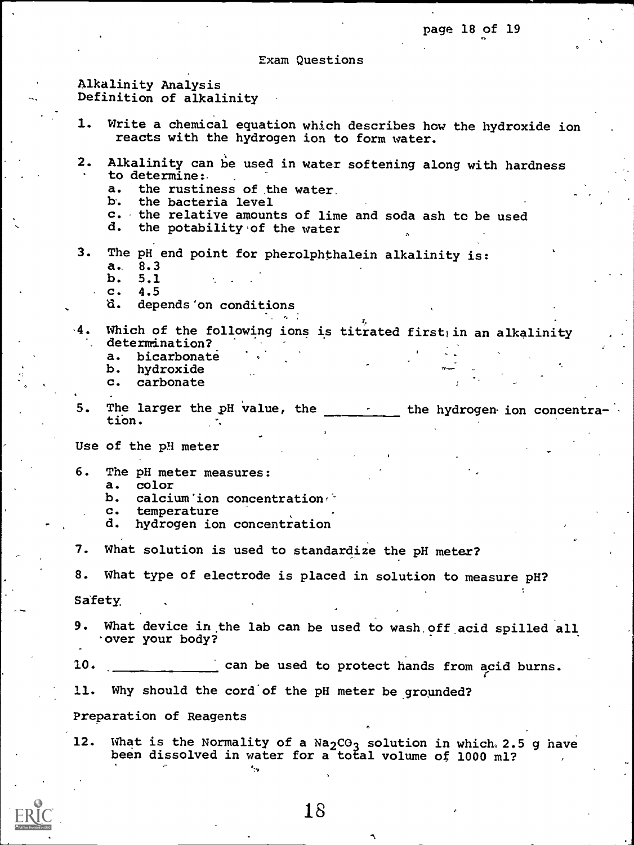Exam Questions

# Alkalinity Analysis Definition of alkalinity

1. Write a chemical equation which describes how the hydroxide ion reacts with the hydrogen ion to form water. 2. Alkalinity can be used in water softening along with hardness to determine:. a. the rustiness of the water.<br>b. the bacteria level the bacteria level c. the relative amounts of lime and soda ash to be used  $d$ . the potability of the vater the potability of the water 3. The pH end point for pherolphthalein alkalinity is: a. 8.3<br>b. 5.1 b. 5.1<br>c. 4.5 c. 4.5<br>d. dep depends 'on conditions Which of the following ions is titrated first in an alkalinity determination?<br>a. bicarbonate a. bicarbonate<br>b. hydroxide b. hydroxide<br>c. carbonate carbonate 5. The larger the pH value, the the the hydrogen ion concentration. Use of the pH meter 6. The pH meter measures: a. color<br>b. calci b. calcium'ion concentration c. temperature<br>d. hydrogen iom hydrogen ion concentration 7. What solution is used to standardize the pH meter? 8. What type of electrode is placed in solution to measure pH? Safety, 9. What device in the lab can be used to wash.off acid spilled all over your body? 10. can be used to protect hands from acid burns. 11. Why should the cord'of the pH meter be grounded? Preparation of Reagents 12. What is the Normality of a  $Na_2CO_3$  solution in which 2.5 g have been dissolved in water for a total volume of 1000 ml?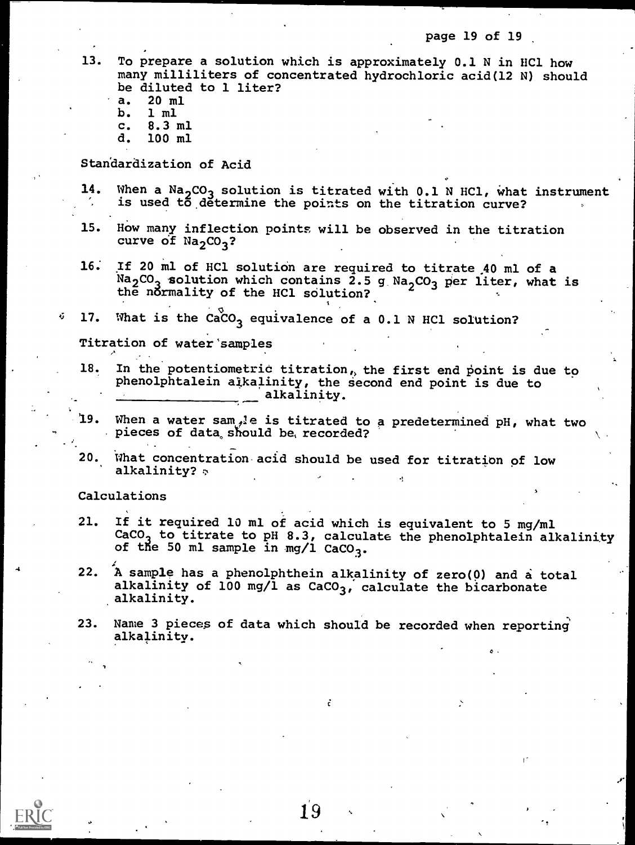page 19 of 19

13. To prepare a solution which is approximately 0.1 N in HC1 how many milliliters of concentrated hydrochloric acid(12 N) should be diluted to 1 liter?

- a. 20 ml
- b. 1 ml
- c. 8.3 ml<br>d. 100 ml
- 100 ml

Standardization of Acid

- 14. When a  $Na<sub>2</sub>CO<sub>3</sub>$  solution is titrated with 0.1 N HCl, what instrument is used to determine the points on the titration curve?
- 15. How many inflection points will be observed in the titration curve of  $Na_2CO_3$ ?
- 16: If 20 ml of HC1 solution are required to titrate 40 ml of a  $Na<sub>2</sub>CO<sub>3</sub>$  solution which contains 2.5 g  $Na<sub>2</sub>CO<sub>3</sub>$  per liter, what is the normality of the HCl solution?
- $\delta$  17. What is the CaCO<sub>3</sub> equivalence of a 0.1 N HCl solution?

Titration of water samples

- 18. In the potentiometric titration, the first end point is due to phenolphtalein alkalinity, the second end point is due to alkalinity.
- 19. When a water sample is titrated to a predetermined pH, what two pieces of data, should be, recorded?
- 20. What concentration-acid should be used for titration of low alkalinity?  $\triangledown$

Calculations

- 21. If it required 10 ml of acid which is equivalent to 5 mg/ml CaCO<sub>3</sub> to titrate to pH 8.3, calculate the phenolphtalein alkalinity of the 50 ml sample in mg/1  $CaCO<sub>3</sub>$ .
- 22. A sample has a phenolphthein alkalinity of zero(0) and a total alkalinity of 100 mg/l as  $CaCO<sub>3</sub>$ , calculate the bicarbonate alkalinity.
- 23. Name 3 pieces of data which should be recorded when reporting alkalinity.

÷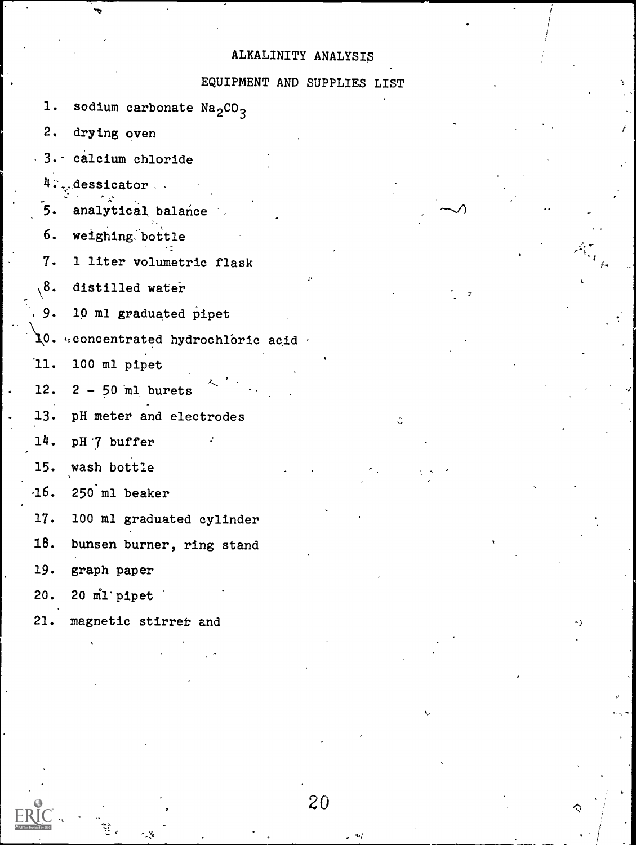# ALKALINITY ANALYSIS

# EQUIPMENT AND SUPPLIES LIST

20

1. sodium carbonate  $Na<sub>2</sub>CO<sub>3</sub>$ 

2. drying oven

3.- calcium chloride

4. Aessicator,

5. analytical balance

6. weighing bottle

7. 1 liter volumetric flask

\8. distilled water

9. 10 ml graduated pipet

 $10.$  sconcentrated hydrochloric acid  $\cdot$ 

'11. 100 ml pipet

12.  $2 - 50$  ml burets

13. pH meter and electrodes

14. pH '7 buffer

15. wash bottle

 $-16.$  250 ml beaker

17. 100 ml graduated cylinder

18. bunsen burner, ring stand

19. graph paper

20. 20 ml' pipet

21. magnetic stirret and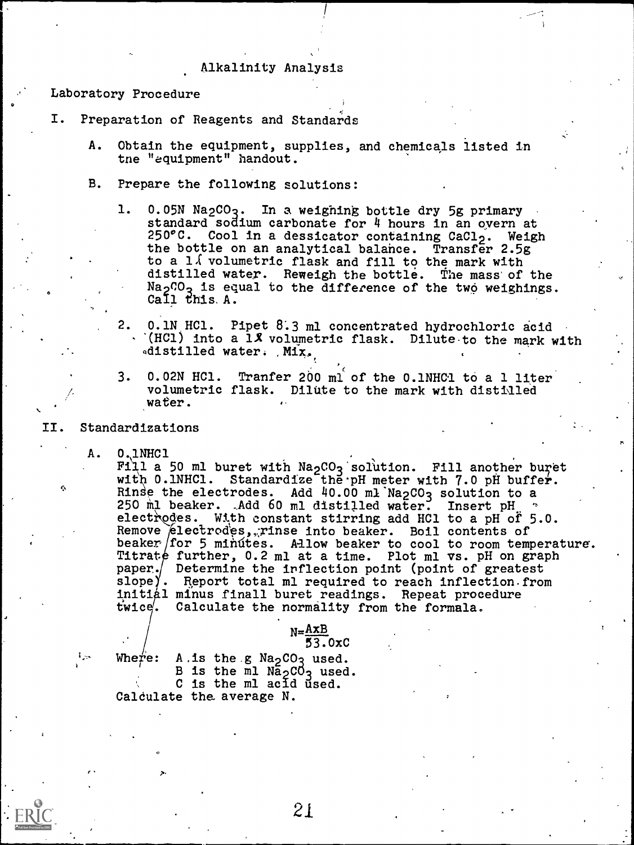### Alkalinity Analysis

Laboratory Procedure

- I. Preparation of Reagents and Standards
	- A. Obtain the equipment, supplies, and chemicals listed in tne "equipment" handout.
	- B. Prepare the following solutions:
		- 1. 0.05N Na<sub>2</sub>CO<sub>3</sub>. In a weighing bottle dry 5g primary standard sodium carbonate for 4 hours in an overn at  $250^{\circ}$ C. Cool in a dessicator containing CaCl<sub>2</sub>. Weigh the bottle on an analytical balance. Transfer 2.5g to a  $1\sqrt{5}$  volumetric flask and fill to the mark with distilled water. Reweigh the bottle. The mass of the Na<sub>2</sub> $0$ <sub>2</sub> is equal to the difference of the two weighings. Call this. A.
		- 2. 0.1N HC1. Pipet 8.3 ml concentrated hydrochloric acid  $(HC1)$  into a 1% volumetric flask. Dilute to the mark with adistilled water. Mix.

,"

r.

- 3. 0.02N HC1. Tranfer 200 ml of the 0.1NHC1 to a 1 liter volumetric flask. Dilute to the mark with distilled water.
- II. Standardizations

 $\bullet$  and  $\bullet$ 

4.,

A. 0.1NHC1

Fill a 50 ml buret with  $Na_2CO_3$  solution. Fill another buret with 0.1NHC1. Standardize the pH meter with 7.0 pH buffer. Rinse the electrodes. Add 40.00 ml Na<sub>2</sub>CO<sub>3</sub> solution to a 250 ml beaker. ,Add 60 ml distilled water. Insert pH  $\degree$  electrodes. With constant stirring add HCl to a pH of 5.0. 0.1NHC1<br>Fill a 50 ml buret with Na<sub>2</sub>CO<sub>3</sub> solution. Fill another buret<br>with 0.1NHC1. Standardize the pH meter with 7.0 pH buffer.<br>Rinse the electrodes. Add 40.00 ml Na<sub>2</sub>CO<sub>3</sub> solution to a<br>250 ml beaker. Add 60 ml distil Remove electrodes, rinse into beaker. Boil contents of beaker for 5 minutes. Allow beaker to cool to room temperature. Titrate further, 0.2 ml at a time. Plot ml vs. pH on graph paper./ Determine the inflection point (point of greatest slope). Report total ml required to reach inflection from initial minus finall buret readings. Repeat procedure twice. Calculate the normality from the formala.

## $N=\frac{AxB}{B}$ 55.0xC

سيرا

Where: A.is the  $g$  Na<sub>2</sub>CO<sub>3</sub> used. B is the ml  $N_{2}C_{3}$  used. C is the ml acid used. Caldulate the. average N.

2.1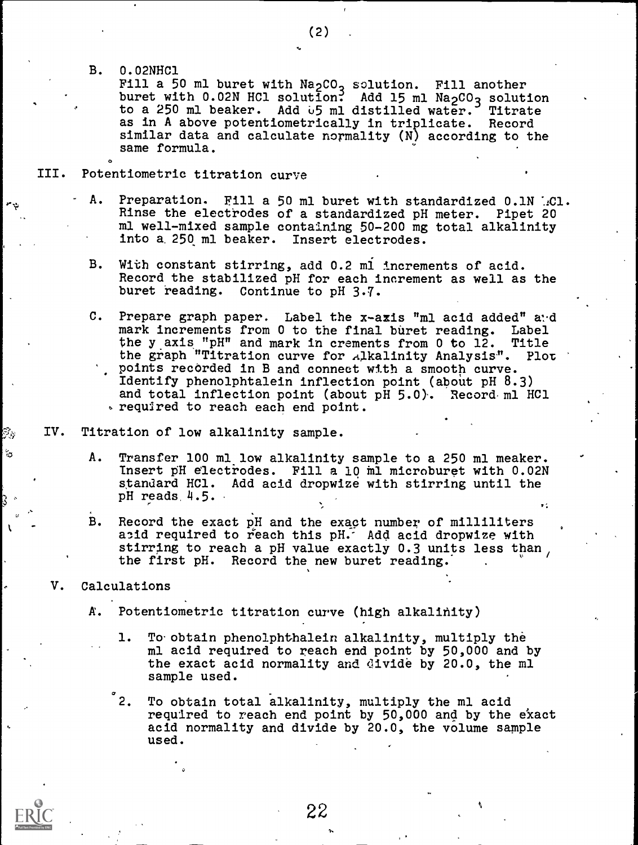B. 0.02NHC1

O

Fill a 50 ml buret with Na<sub>2</sub>CO<sub>3</sub> solution. Fill another buret with 0.02N HCl solution: Add 15 ml Na<sub>2</sub>CO<sub>3</sub> solution to a 250 ml beaker. Add 05 ml distilled water. Titrate as in A above potentiometrically in triplicate. Record similar data and calculate normality (N) according to the same formula.

- III. Potentiometric titration curve
	- Preparation. Fill a 50 ml buret with standardized 0.1N AC1. Rinse the electrodes of a standardized pH meter. Pipet 20 ml well-mixed sample containing 50-200 mg total alkalinity into a. 250 ml beaker. Insert electrodes.
	- B. With constant stirring, add 0.2 ml increments of acid. Record the stabilized pH for each increment as well as the buret reading. Continue to pH 3.7.
	- C. Prepare graph paper. Label the x-axis "ml acid added" and mark increments from 0 to the final buret reading. Label<br>the y axis "pH" and mark in crements from 0 to 12. Title the y axis "pH" and mark in crements from 0 to 12. Title the graph "Titration curve for alkalinity Analysis". Plot the graph "Titration curve for Alkalinity Analysis". points recorded in B and connect with a smooth curve. Identify phenolphtalein inflection point (about pH 8.3) and total inflection point (about pH 5.0). Record ml HCl required to reach each end point.
- IV. Titration of low alkalinity sample.
	- A. Transfer 100 ml low alkalinity sample to a 250 ml meaker. Insert pH electrodes. Fill a 10 ml microburet with 0.02N standard HC1. Add acid dropwize with stirring until the pH reads, 4.5.
	- B. Record the exact pH and the exact number of milliliters acid required to reach this pH. Add acid dropwize with stirring to reach a pH value exactly 0.3 units less than, the first pH. Record the new buret reading.
	- V. Calculations

ిం

- A. Potentiometric titration curve (high alkalinity)
	- 1. To obtain phenolphthalein alkalinity, multiply the ml acid required to reach end point by 50,000 and by the exact acid normality and divide by 20.0, the ml sample used.

2. To obtain total alkalinity, multiply the ml acid required to reach end point by 50,000 and by the exact acid normality and divide by 20.0, the volume sample used.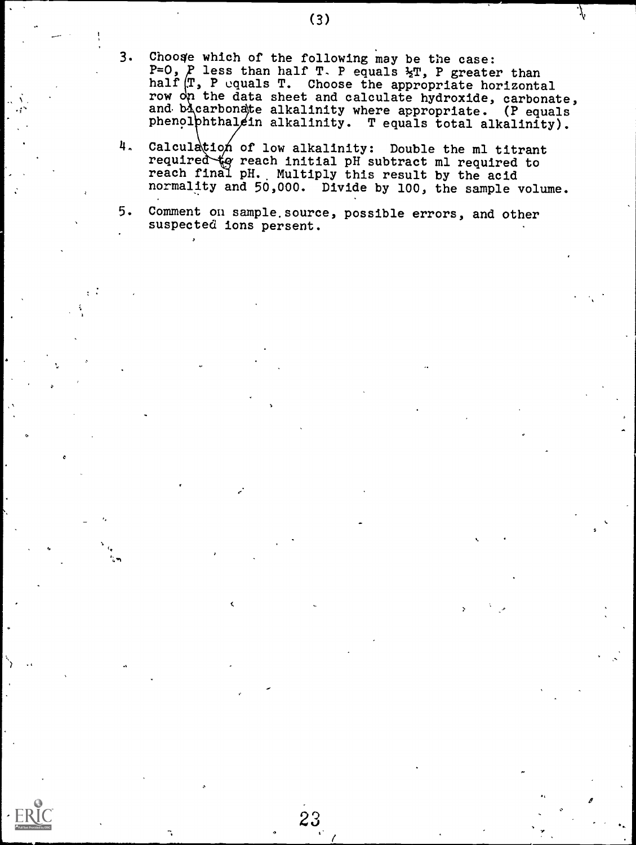- 3. Choose which of the following may be the case:  $P = 0$ ,  $P$  less than half T. P equals  $\Sigma T$ , P greater than half  $\mathbb{T}$ , P equals T. Choose the appropriate horizontal row on the data sheet and calculate hydroxide, carbonate, and bicarbonate alkalinity where appropriate. (P equals phenol phthal ein alkalinity. T equals total alkalinity).
- $4.$ Calculation of low alkalinity: Double the ml titrant required to reach initial pH subtract ml required to reach final pH. Multiply this result by the acid normality and 50,000. Divide by 100, the sample volume.

5. Comment on sample.source, possible errors, and other suspected ions persent.

23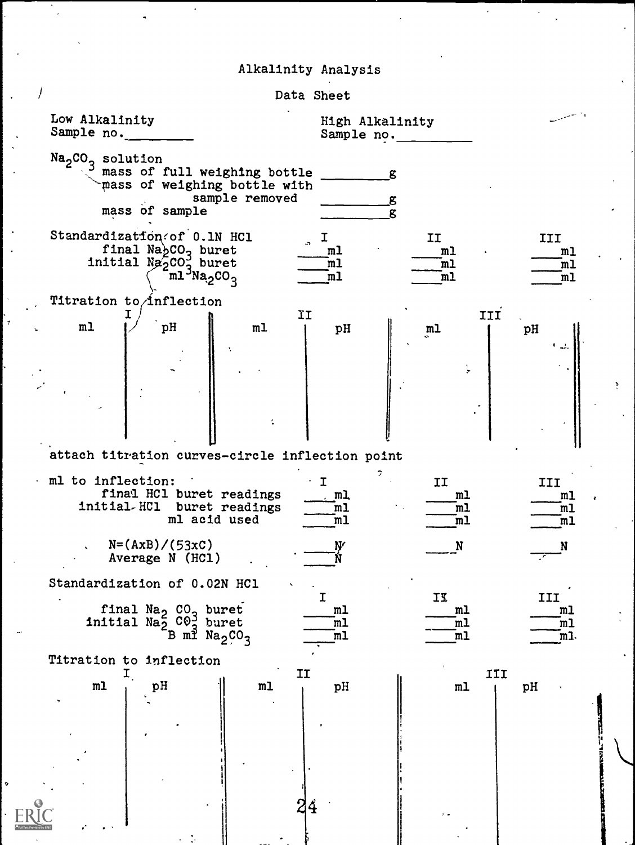# Alkalinity Analysis

| Data Sheet                                                                                                                                   |                                                                                                                                              |
|----------------------------------------------------------------------------------------------------------------------------------------------|----------------------------------------------------------------------------------------------------------------------------------------------|
| Low Alkalinity<br>Sample no.                                                                                                                 | High Alkalinity<br>Sample no.                                                                                                                |
| Na <sub>2</sub> CO <sub>3</sub> solution<br>mass of full weighing bottle<br>mass of weighing bottle with<br>sample removed<br>mass of sample | g<br>g<br>ድ                                                                                                                                  |
| Standardization of 0.1N HC1<br>final $Na_bCO_2$ buret<br>initial $N_{\alpha}^{2}CO_{2}^{3}$ buret<br>$m15Na2CO3$                             | I<br>IJ<br>III<br>m <sub>1</sub><br>m <sub>1</sub><br>m <sub>1</sub><br>m1<br>m1<br>m <sub>l</sub><br>m <sub>1</sub><br>m1<br>m <sub>1</sub> |
| Titration to inflection<br>ΪI<br>m <sub>1</sub><br>pH<br>m1                                                                                  | III<br>pH<br>m1<br>pH                                                                                                                        |
|                                                                                                                                              | ے ا<br>ţ                                                                                                                                     |
| attach titration curves-circle inflection point                                                                                              |                                                                                                                                              |
| ml to inflection:<br>final HCl buret readings<br>initial-HCl buret readings<br>ml acid used                                                  | II<br>III<br>т<br>$\mathbf{m}$<br>m <sub>1</sub><br>m1<br>m1<br>m1<br>m1<br>$\mathbf{m}$ l<br>m1<br>m1                                       |
| $N = (AxB) / (53xC)$<br>Average N (HCl)                                                                                                      | Ŋ<br>N<br>N                                                                                                                                  |
| Standardization of 0.02N HCl                                                                                                                 | II<br>III<br>т                                                                                                                               |
| final Na <sub>2</sub> CO <sub>3</sub> buret<br>initial Na <sub>2</sub> CO <sub>3</sub> buret<br>B ml Na <sub>2</sub> CO <sub>3</sub>         | m1<br>m <sub>l</sub><br>m1<br>m1<br>m1<br>m1<br>m1<br>$\overline{\mathfrak{m}}$<br>m1.                                                       |
| Titration to inflection<br>IJ                                                                                                                | III                                                                                                                                          |
| $\mathbf{p} \mathbf{H}$<br>m1<br>m1                                                                                                          | pH<br>pH<br>m1                                                                                                                               |
| 24                                                                                                                                           |                                                                                                                                              |

 $\circ$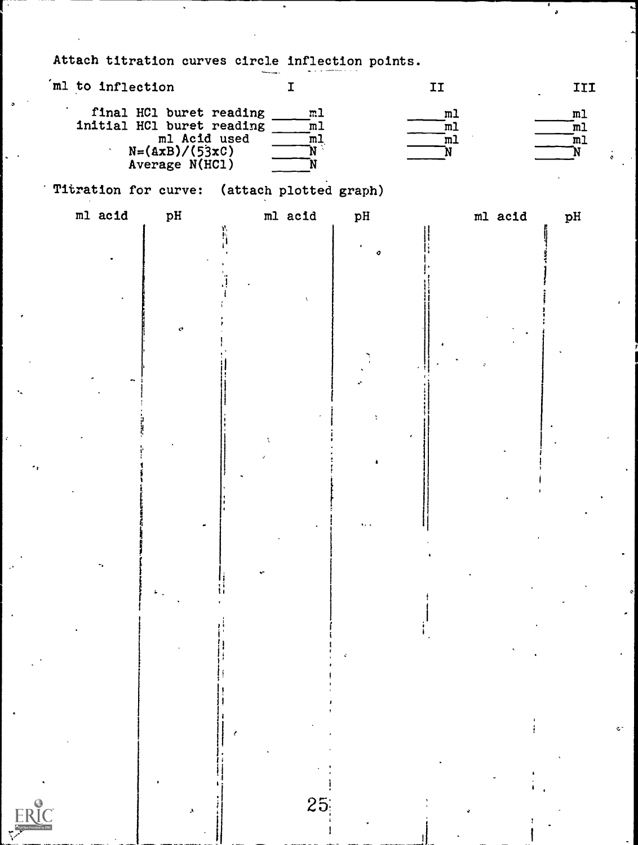Attach titration curves circle inflection points.

| ml to inflection |                                                                                                            | I                                                                                         |               | II                                                                   |         | III                                                               |                    |
|------------------|------------------------------------------------------------------------------------------------------------|-------------------------------------------------------------------------------------------|---------------|----------------------------------------------------------------------|---------|-------------------------------------------------------------------|--------------------|
|                  | final HCl buret reading<br>initial HCl buret reading<br>ml Acid used<br>$N=(AxB)/(53xC)$<br>Average N(HCl) | m <sub>1</sub><br>$\overline{m}$<br>$\overline{\mathfrak{m}}$<br>$\mathbf{\hat{N}}$<br>'N |               | m1<br>$\overline{\mathfrak{m}}$<br>$\overline{\mathfrak{m}}$ l<br>'N |         | m1<br>$\overline{\mathbb{m}}$<br>$\mathbb{I}^{\mathfrak{m}}$<br>N |                    |
|                  | Titration for curve: (attach plotted graph)                                                                |                                                                                           |               |                                                                      |         |                                                                   |                    |
| ml acid          | pH                                                                                                         | ml acid                                                                                   | pH            |                                                                      | ml acid | pH                                                                |                    |
|                  |                                                                                                            |                                                                                           | $\bullet$     |                                                                      |         |                                                                   |                    |
|                  |                                                                                                            |                                                                                           |               |                                                                      |         |                                                                   |                    |
|                  |                                                                                                            |                                                                                           |               |                                                                      |         |                                                                   |                    |
|                  | $\mathcal{O}$                                                                                              |                                                                                           |               |                                                                      |         |                                                                   |                    |
|                  |                                                                                                            |                                                                                           |               |                                                                      |         |                                                                   |                    |
|                  |                                                                                                            |                                                                                           |               |                                                                      |         |                                                                   |                    |
|                  |                                                                                                            |                                                                                           | ÷             |                                                                      |         |                                                                   |                    |
|                  |                                                                                                            |                                                                                           |               |                                                                      |         |                                                                   |                    |
|                  |                                                                                                            |                                                                                           | $\pmb{\cdot}$ |                                                                      |         |                                                                   |                    |
|                  |                                                                                                            |                                                                                           |               |                                                                      |         |                                                                   |                    |
|                  |                                                                                                            |                                                                                           |               |                                                                      |         |                                                                   |                    |
|                  |                                                                                                            |                                                                                           |               |                                                                      |         |                                                                   |                    |
|                  |                                                                                                            |                                                                                           |               |                                                                      |         |                                                                   |                    |
|                  |                                                                                                            |                                                                                           |               |                                                                      |         |                                                                   |                    |
|                  |                                                                                                            |                                                                                           |               |                                                                      |         |                                                                   |                    |
|                  |                                                                                                            |                                                                                           |               |                                                                      |         |                                                                   |                    |
|                  |                                                                                                            |                                                                                           |               |                                                                      |         |                                                                   |                    |
|                  |                                                                                                            |                                                                                           |               |                                                                      |         |                                                                   |                    |
|                  |                                                                                                            |                                                                                           |               |                                                                      |         |                                                                   | $\zeta$ $^{\circ}$ |
|                  |                                                                                                            |                                                                                           |               |                                                                      |         |                                                                   |                    |
|                  |                                                                                                            |                                                                                           |               |                                                                      |         |                                                                   |                    |
|                  |                                                                                                            | 25                                                                                        |               |                                                                      |         |                                                                   |                    |
|                  |                                                                                                            |                                                                                           |               |                                                                      |         |                                                                   |                    |

 $\mathbf{r}$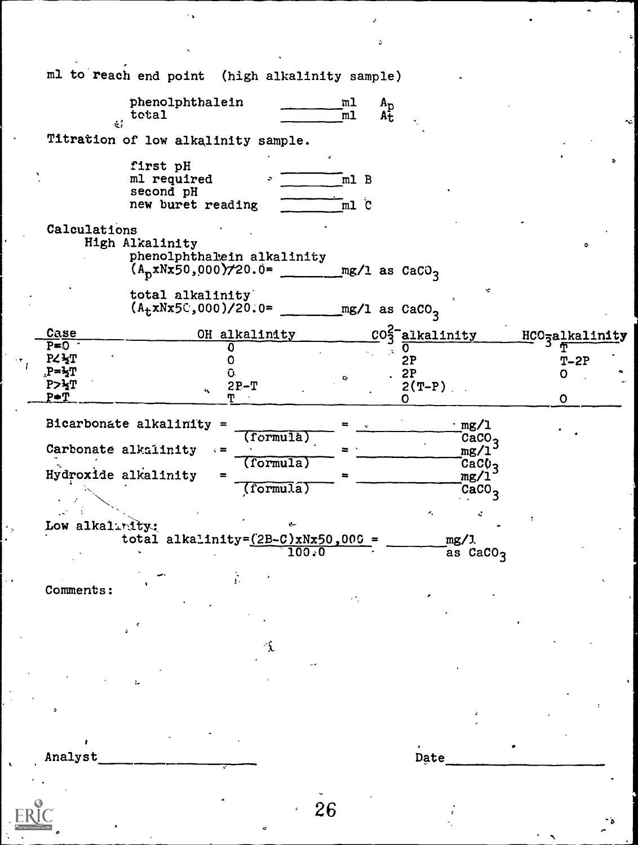|                                   | ml to reach end point (high alkalinity sample)       |                               |                                                    |                             |                              |                             |  |
|-----------------------------------|------------------------------------------------------|-------------------------------|----------------------------------------------------|-----------------------------|------------------------------|-----------------------------|--|
|                                   |                                                      |                               |                                                    |                             |                              |                             |  |
|                                   | phenolphthalein<br>$\text{total}$                    |                               | m1<br>$A_{\rm p}$<br>$A_{\rm t}$<br>$\mathbf{m}$ l |                             |                              |                             |  |
|                                   | Titration of low alkalinity sample.                  |                               |                                                    |                             |                              |                             |  |
|                                   | first pH                                             |                               |                                                    |                             |                              |                             |  |
|                                   | ml required<br>second pH                             |                               | m1 B                                               |                             |                              |                             |  |
|                                   | new buret reading                                    |                               | $m1$ $c$                                           |                             |                              |                             |  |
| Calculations                      | High Alkalinity                                      |                               |                                                    |                             |                              |                             |  |
|                                   | phenolphthalein alkalinity<br>$A_p$ xNx50,000)/20.0= |                               | $mg/1$ as CaCO <sub>3</sub>                        |                             |                              |                             |  |
|                                   | total alkalinity<br>$(A_t x N x 5C, 000)/20.0 =$     |                               | $mg/1$ as $CaCO3$                                  |                             | ÷                            |                             |  |
| Case                              |                                                      | OH alkalinity                 |                                                    | CO <sub>3</sub> -alkalinity |                              | HCO <sub>3</sub> alkalinity |  |
| $P = 0$                           |                                                      | 0                             |                                                    | 0                           |                              |                             |  |
| <b>PZ3T</b><br>$P = \frac{1}{2}T$ |                                                      |                               |                                                    | 2P<br>2P                    |                              | $T-2P$                      |  |
| P>፟፟፟፟፟ <mark></mark> ን           |                                                      | $2P-T$                        |                                                    | $2(T-P)$                    |                              | O                           |  |
| $P \oplus T$                      |                                                      |                               |                                                    | O                           |                              | 0                           |  |
|                                   | Bicarbonate alkalinity =                             | (formu1a)                     |                                                    | $\cdot$ mg/l                | CaCO <sub>2</sub>            |                             |  |
|                                   | Carbonate alkalinity                                 |                               | =                                                  |                             | mg/1                         |                             |  |
|                                   | Hydroxide alkalinity                                 | (formula)                     |                                                    |                             | CaCV <sub>3</sub>            |                             |  |
|                                   |                                                      | $\overline{\text{(formula)}}$ |                                                    |                             | mg/1<br>$cc$ a $\rm{CO}_{2}$ |                             |  |
|                                   |                                                      |                               |                                                    |                             |                              |                             |  |
| Low alkalinity:                   |                                                      |                               |                                                    | ×,                          |                              |                             |  |
|                                   | total alkalinity= $(2B-C)xNx50,000$ =                |                               |                                                    | mg/1                        |                              |                             |  |
|                                   |                                                      |                               | 100.0                                              |                             | as CaCO <sub>3</sub>         |                             |  |
|                                   |                                                      |                               |                                                    |                             |                              |                             |  |
| Comments:                         |                                                      |                               |                                                    |                             |                              |                             |  |
|                                   |                                                      |                               |                                                    |                             |                              |                             |  |
|                                   |                                                      |                               |                                                    |                             |                              |                             |  |
|                                   |                                                      |                               |                                                    |                             |                              |                             |  |
|                                   |                                                      |                               |                                                    |                             |                              |                             |  |
|                                   |                                                      |                               |                                                    |                             |                              |                             |  |
|                                   |                                                      |                               |                                                    |                             |                              |                             |  |
|                                   |                                                      |                               |                                                    |                             |                              |                             |  |
|                                   |                                                      |                               |                                                    |                             |                              |                             |  |
| Analyst                           |                                                      |                               |                                                    | Date                        |                              |                             |  |
|                                   |                                                      |                               |                                                    |                             |                              |                             |  |
|                                   |                                                      |                               |                                                    |                             |                              |                             |  |
|                                   |                                                      |                               | 26                                                 |                             |                              |                             |  |
|                                   |                                                      | ۰                             |                                                    |                             |                              |                             |  |
|                                   |                                                      |                               |                                                    |                             |                              |                             |  |

 $\hat{\mathbf{y}}$ 

 $\mathcal{L}_{\mathbf{A}}$ 

.

 $\bullet$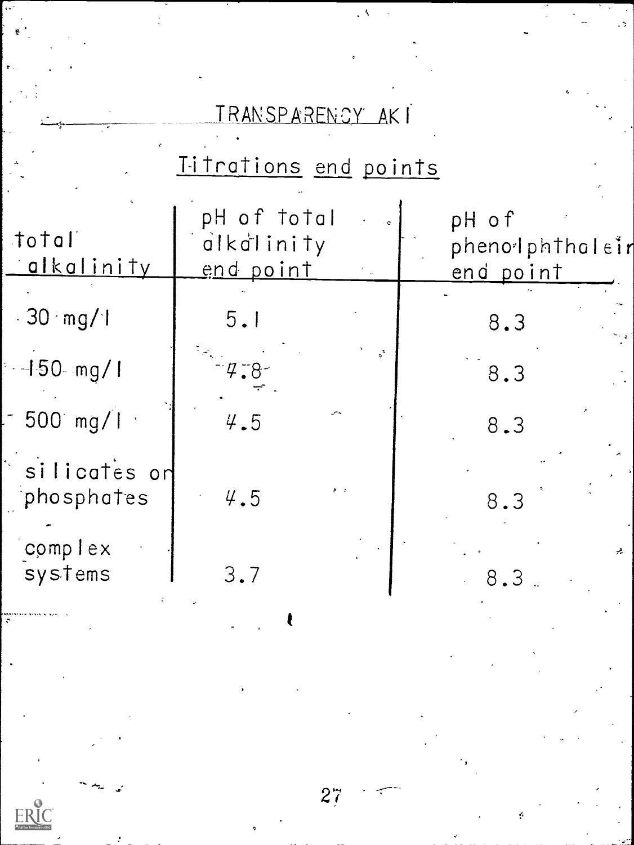|                            | <u>TRANSPARENCY</u> AKI                                                     |                                              |
|----------------------------|-----------------------------------------------------------------------------|----------------------------------------------|
|                            | Titrations end points                                                       |                                              |
| total<br><u>alkalinity</u> | pH of total<br>$\tilde{d}$ $k$ $\tilde{d}$ $i$ $n$ $i$ $t$ $y$<br>end point | pH of<br>phenolphtholein<br><u>end point</u> |
| $-30 \cdot mg/1$           | 5.1                                                                         | 8.3                                          |
| $-150$ mg/1                | $4.8 - 1.7$                                                                 | 8.3                                          |
| $-500$ mg/l                | 4.5                                                                         | 8.3                                          |
| silicates on<br>phosphates | 4.5                                                                         | 8.3                                          |
| complex<br>systems         | 3.7                                                                         | 8.3 <sub>1</sub>                             |

 $\ddot{\phantom{1}}$ 

 $\epsilon$  .

 $\ddot{\cdot}$ 

E

 $27$ 

 $\frac{1}{2}$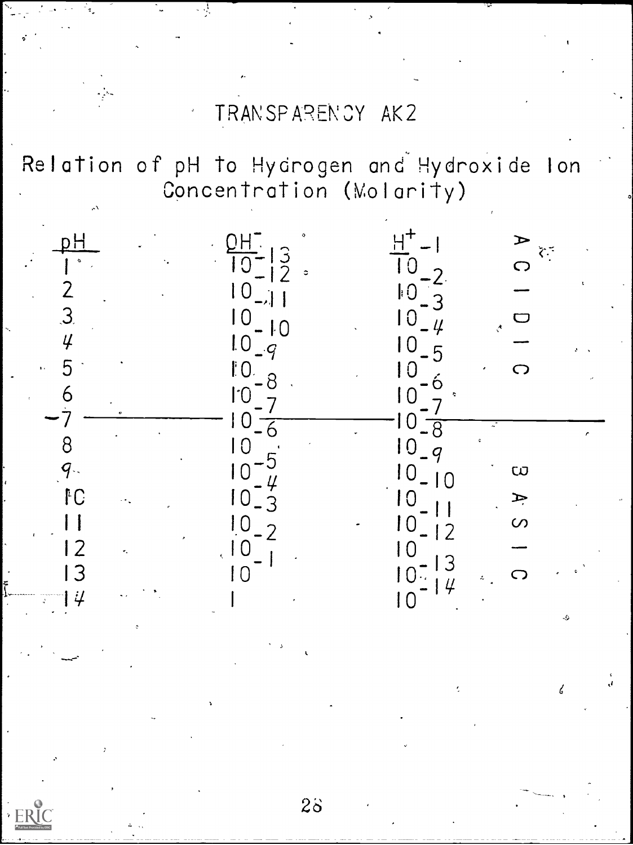# TRANSPARENCY AK2

Relation of pH to Hydrogen and Hydroxide lon Concentration (Molarity)

. .!



 $2\delta$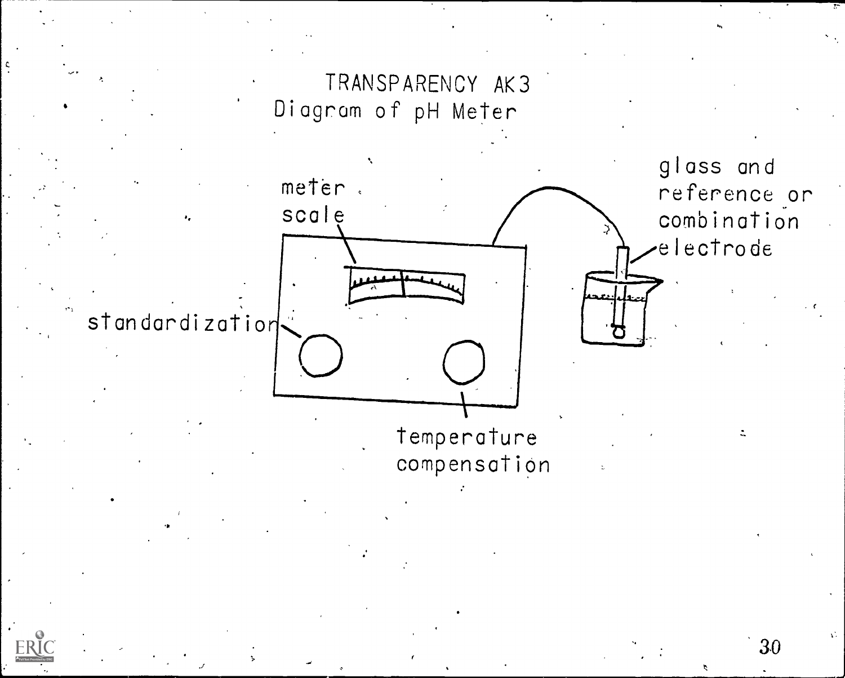

30

 $\chi^2_{\rm R}$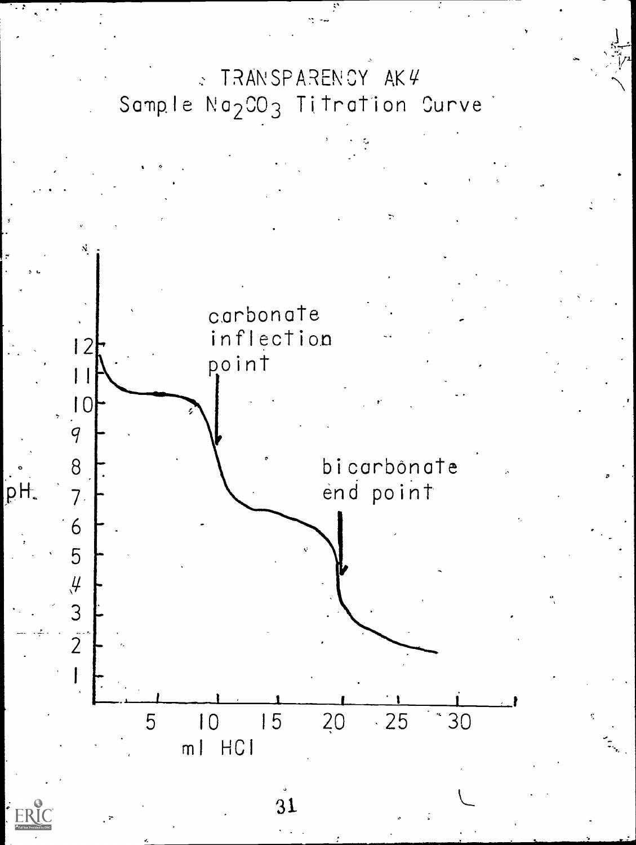# TRANSPARENCY AK4  $\mathbf{v}$ Sample Na<sub>2</sub>CO<sub>3</sub> Titration Curve

12 carbonate inflection

 $\blacksquare$ point

> bicarbônate end point

5 10 15 20 25 '30 ml HCI

31

10

8

 $\overline{q}$ 

7

pH.

 $FR$ 

6

5

 $\frac{4}{3}$ 

 $\overline{2}$ 

 $\mathbf{I}$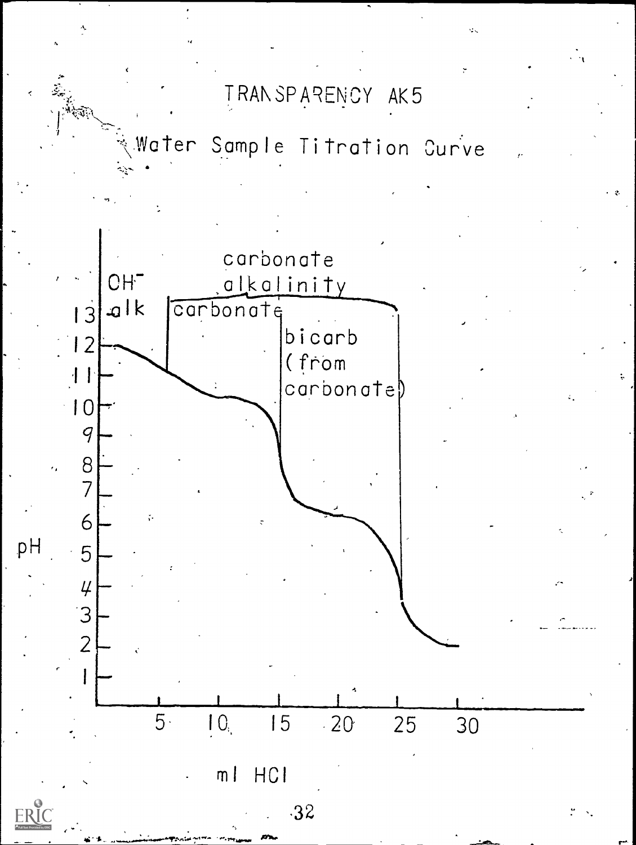TRANSPARENCY AK5

water Sample Titration Curve